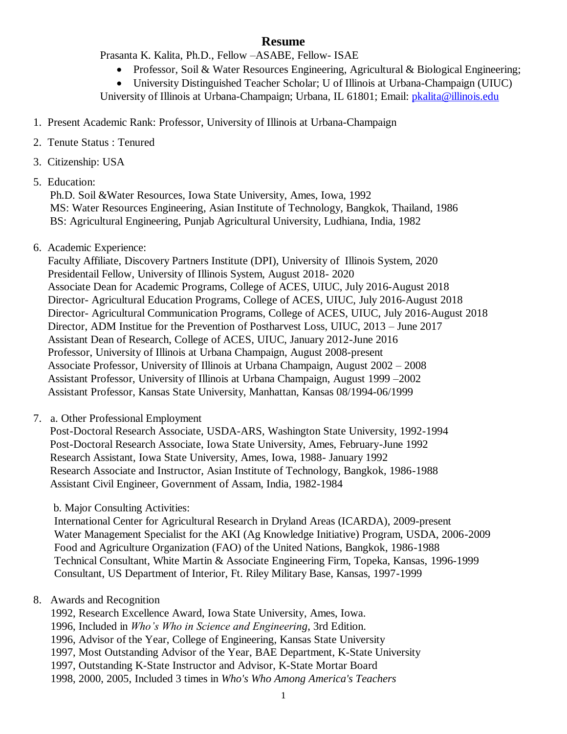# **Resume**

Prasanta K. Kalita, Ph.D., Fellow –ASABE, Fellow- ISAE

• Professor, Soil & Water Resources Engineering, Agricultural & Biological Engineering;

 University Distinguished Teacher Scholar; U of Illinois at Urbana-Champaign (UIUC) University of Illinois at Urbana-Champaign; Urbana, IL 61801; Email: *pkalita@illinois.edu* 

- 1. Present Academic Rank: Professor, University of Illinois at Urbana-Champaign
- 2. Tenute Status : Tenured
- 3. Citizenship: USA
- 5. Education:

Ph.D. Soil &Water Resources, Iowa State University, Ames, Iowa, 1992 MS: Water Resources Engineering, Asian Institute of Technology, Bangkok, Thailand, 1986 BS: Agricultural Engineering, Punjab Agricultural University, Ludhiana, India, 1982

6. Academic Experience:

 Faculty Affiliate, Discovery Partners Institute (DPI), University of Illinois System, 2020 Presidentail Fellow, University of Illinois System, August 2018- 2020 Associate Dean for Academic Programs, College of ACES, UIUC, July 2016-August 2018 Director- Agricultural Education Programs, College of ACES, UIUC, July 2016-August 2018 Director- Agricultural Communication Programs, College of ACES, UIUC, July 2016-August 2018 Director, ADM Institue for the Prevention of Postharvest Loss, UIUC, 2013 – June 2017 Assistant Dean of Research, College of ACES, UIUC, January 2012-June 2016 Professor, University of Illinois at Urbana Champaign, August 2008-present Associate Professor, University of Illinois at Urbana Champaign, August 2002 – 2008 Assistant Professor, University of Illinois at Urbana Champaign, August 1999 –2002 Assistant Professor, Kansas State University, Manhattan, Kansas 08/1994-06/1999

7. a. Other Professional Employment

Post-Doctoral Research Associate, USDA-ARS, Washington State University, 1992-1994 Post-Doctoral Research Associate, Iowa State University, Ames, February-June 1992 Research Assistant, Iowa State University, Ames, Iowa, 1988- January 1992 Research Associate and Instructor, Asian Institute of Technology, Bangkok, 1986-1988 Assistant Civil Engineer, Government of Assam, India, 1982-1984

b. Major Consulting Activities:

International Center for Agricultural Research in Dryland Areas (ICARDA), 2009-present Water Management Specialist for the AKI (Ag Knowledge Initiative) Program, USDA, 2006-2009 Food and Agriculture Organization (FAO) of the United Nations, Bangkok, 1986-1988 Technical Consultant, White Martin & Associate Engineering Firm, Topeka, Kansas, 1996-1999 Consultant, US Department of Interior, Ft. Riley Military Base, Kansas, 1997-1999

## 8. Awards and Recognition

 1992, Research Excellence Award, Iowa State University, Ames, Iowa. 1996, Included in *Who's Who in Science and Engineering*, 3rd Edition. 1996, Advisor of the Year, College of Engineering, Kansas State University 1997, Most Outstanding Advisor of the Year, BAE Department, K-State University 1997, Outstanding K-State Instructor and Advisor, K-State Mortar Board 1998, 2000, 2005, Included 3 times in *Who's Who Among America's Teachers*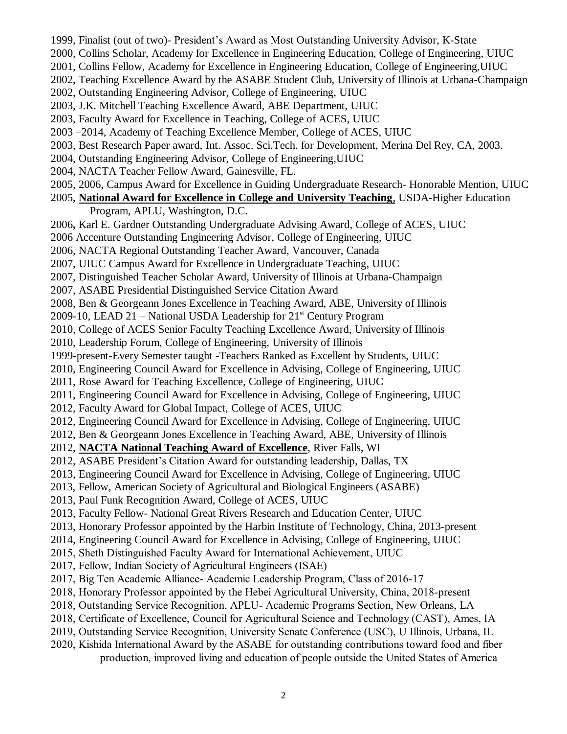1999, Finalist (out of two)- President's Award as Most Outstanding University Advisor, K-State 2000, Collins Scholar, Academy for Excellence in Engineering Education, College of Engineering, UIUC 2001, Collins Fellow, Academy for Excellence in Engineering Education, College of Engineering,UIUC 2002, Teaching Excellence Award by the ASABE Student Club, University of Illinois at Urbana-Champaign 2002, Outstanding Engineering Advisor, College of Engineering, UIUC 2003, J.K. Mitchell Teaching Excellence Award, ABE Department, UIUC 2003, Faculty Award for Excellence in Teaching, College of ACES, UIUC 2003 –2014, Academy of Teaching Excellence Member, College of ACES, UIUC 2003, Best Research Paper award, Int. Assoc. Sci.Tech. for Development, Merina Del Rey, CA, 2003. 2004, Outstanding Engineering Advisor, College of Engineering,UIUC 2004, NACTA Teacher Fellow Award, Gainesville, FL. 2005, 2006, Campus Award for Excellence in Guiding Undergraduate Research- Honorable Mention, UIUC 2005, **National Award for Excellence in College and University Teaching**, USDA-Higher Education Program, APLU, Washington, D.C. 2006**,** Karl E. Gardner Outstanding Undergraduate Advising Award, College of ACES, UIUC 2006 Accenture Outstanding Engineering Advisor, College of Engineering, UIUC 2006, NACTA Regional Outstanding Teacher Award, Vancouver, Canada 2007, UIUC Campus Award for Excellence in Undergraduate Teaching, UIUC 2007, Distinguished Teacher Scholar Award, University of Illinois at Urbana-Champaign 2007, ASABE Presidential Distinguished Service Citation Award 2008, Ben & Georgeann Jones Excellence in Teaching Award, ABE, University of Illinois 2009-10, LEAD 21 – National USDA Leadership for  $21<sup>st</sup>$  Century Program 2010, College of ACES Senior Faculty Teaching Excellence Award, University of Illinois 2010, Leadership Forum, College of Engineering, University of Illinois 1999-present-Every Semester taught -Teachers Ranked as Excellent by Students, UIUC 2010, Engineering Council Award for Excellence in Advising, College of Engineering, UIUC 2011, Rose Award for Teaching Excellence, College of Engineering, UIUC 2011, Engineering Council Award for Excellence in Advising, College of Engineering, UIUC 2012, Faculty Award for Global Impact, College of ACES, UIUC 2012, Engineering Council Award for Excellence in Advising, College of Engineering, UIUC 2012, Ben & Georgeann Jones Excellence in Teaching Award, ABE, University of Illinois 2012, **NACTA National Teaching Award of Excellence**, River Falls, WI 2012, ASABE President's Citation Award for outstanding leadership, Dallas, TX 2013, Engineering Council Award for Excellence in Advising, College of Engineering, UIUC 2013, Fellow, American Society of Agricultural and Biological Engineers (ASABE) 2013, Paul Funk Recognition Award, College of ACES, UIUC 2013, Faculty Fellow- National Great Rivers Research and Education Center, UIUC 2013, Honorary Professor appointed by the Harbin Institute of Technology, China, 2013-present 2014, Engineering Council Award for Excellence in Advising, College of Engineering, UIUC 2015, Sheth Distinguished Faculty Award for International Achievement, UIUC 2017, Fellow, Indian Society of Agricultural Engineers (ISAE) 2017, Big Ten Academic Alliance- Academic Leadership Program, Class of 2016-17 2018, Honorary Professor appointed by the Hebei Agricultural University, China, 2018-present 2018, Outstanding Service Recognition, APLU- Academic Programs Section, New Orleans, LA 2018, Certificate of Excellence, Council for Agricultural Science and Technology (CAST), Ames, IA 2019, Outstanding Service Recognition, University Senate Conference (USC), U Illinois, Urbana, IL 2020, Kishida International Award by the ASABE for outstanding contributions toward food and fiber production, improved living and education of people outside the United States of America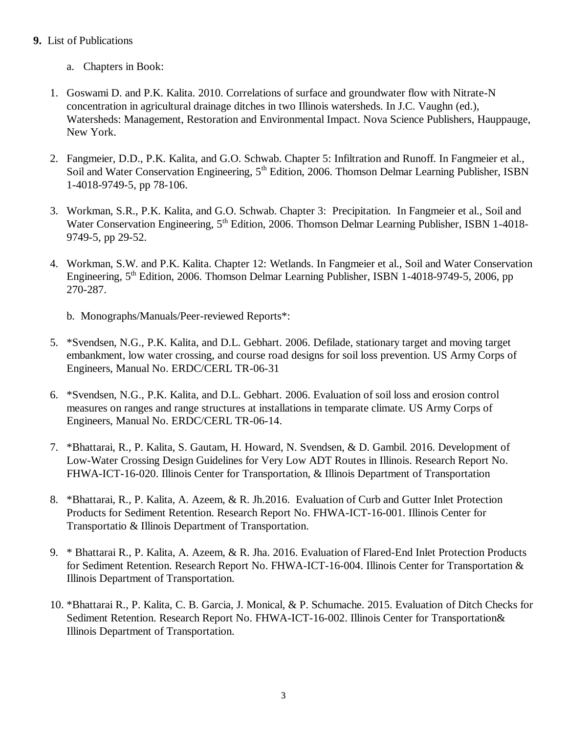## **9.** List of Publications

- a. Chapters in Book:
- 1. Goswami D. and P.K. Kalita. 2010. Correlations of surface and groundwater flow with Nitrate-N concentration in agricultural drainage ditches in two Illinois watersheds. In J.C. Vaughn (ed.), Watersheds: Management, Restoration and Environmental Impact. Nova Science Publishers, Hauppauge, New York.
- 2. Fangmeier, D.D., P.K. Kalita, and G.O. Schwab. Chapter 5: Infiltration and Runoff. In Fangmeier et al., Soil and Water Conservation Engineering, 5<sup>th</sup> Edition, 2006. Thomson Delmar Learning Publisher, ISBN 1-4018-9749-5, pp 78-106.
- 3. Workman, S.R., P.K. Kalita, and G.O. Schwab. Chapter 3: Precipitation. In Fangmeier et al., Soil and Water Conservation Engineering, 5<sup>th</sup> Edition, 2006. Thomson Delmar Learning Publisher, ISBN 1-4018-9749-5, pp 29-52.
- 4. Workman, S.W. and P.K. Kalita. Chapter 12: Wetlands. In Fangmeier et al., Soil and Water Conservation Engineering, 5<sup>th</sup> Edition, 2006. Thomson Delmar Learning Publisher, ISBN 1-4018-9749-5, 2006, pp 270-287.
	- b. Monographs/Manuals/Peer-reviewed Reports\*:
- 5. \*Svendsen, N.G., P.K. Kalita, and D.L. Gebhart. 2006. Defilade, stationary target and moving target embankment, low water crossing, and course road designs for soil loss prevention. US Army Corps of Engineers, Manual No. ERDC/CERL TR-06-31
- 6. \*Svendsen, N.G., P.K. Kalita, and D.L. Gebhart. 2006. Evaluation of soil loss and erosion control measures on ranges and range structures at installations in temparate climate. US Army Corps of Engineers, Manual No. ERDC/CERL TR-06-14.
- 7. \*Bhattarai, R., P. Kalita, S. Gautam, H. Howard, N. Svendsen, & D. Gambil. 2016. Development of Low-Water Crossing Design Guidelines for Very Low ADT Routes in Illinois. Research Report No. FHWA-ICT-16-020. Illinois Center for Transportation, & Illinois Department of Transportation
- 8. \*Bhattarai, R., P. Kalita, A. Azeem, & R. Jh.2016. Evaluation of Curb and Gutter Inlet Protection Products for Sediment Retention. Research Report No. FHWA-ICT-16-001. Illinois Center for Transportatio & Illinois Department of Transportation.
- 9. \* Bhattarai R., P. Kalita, A. Azeem, & R. Jha. 2016. Evaluation of Flared-End Inlet Protection Products for Sediment Retention. Research Report No. FHWA-ICT-16-004. Illinois Center for Transportation & Illinois Department of Transportation.
- 10. \*Bhattarai R., P. Kalita, C. B. Garcia, J. Monical, & P. Schumache. 2015. Evaluation of Ditch Checks for Sediment Retention. Research Report No. FHWA-ICT-16-002. Illinois Center for Transportation& Illinois Department of Transportation.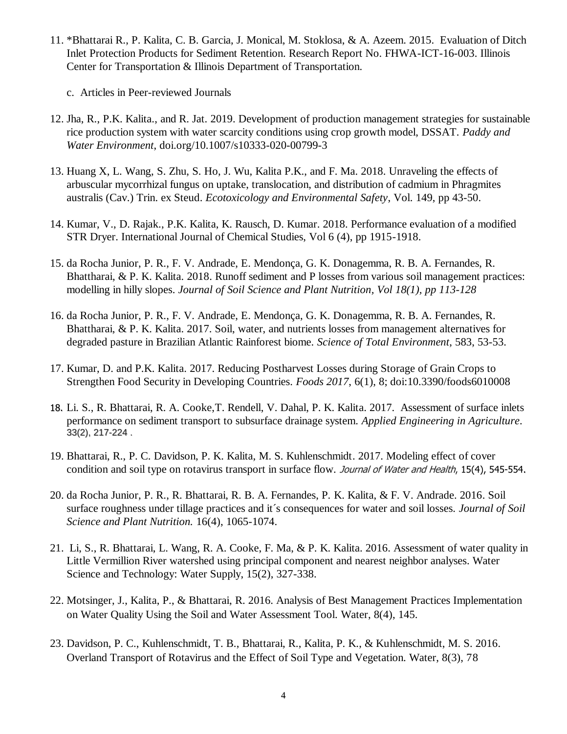- 11. \*Bhattarai R., P. Kalita, C. B. Garcia, J. Monical, M. Stoklosa, & A. Azeem. 2015. Evaluation of Ditch Inlet Protection Products for Sediment Retention. Research Report No. FHWA-ICT-16-003. Illinois Center for Transportation & Illinois Department of Transportation.
	- c. Articles in Peer-reviewed Journals
- 12. Jha, R., P.K. Kalita., and R. Jat. 2019. Development of production management strategies for sustainable rice production system with water scarcity conditions using crop growth model, DSSAT. *Paddy and Water Environment*, doi.org/10.1007/s10333-020-00799-3
- 13. Huang X, L. Wang, S. Zhu, S. Ho, J. Wu, Kalita P.K., and F. Ma. 2018. Unraveling the effects of arbuscular mycorrhizal fungus on uptake, translocation, and distribution of cadmium in Phragmites australis (Cav.) Trin. ex Steud. *Ecotoxicology and Environmental Safety*, Vol. 149, pp 43-50.
- 14. Kumar, V., D. Rajak., P.K. Kalita, K. Rausch, D. Kumar. 2018. Performance evaluation of a modified STR Dryer. International Journal of Chemical Studies, Vol 6 (4), pp 1915-1918.
- 15. da Rocha Junior, P. R., F. V. Andrade, E. Mendonça, G. K. Donagemma, R. B. A. Fernandes, R. Bhattharai, & P. K. Kalita. 2018. Runoff sediment and P losses from various soil management practices: modelling in hilly slopes. *Journal of Soil Science and Plant Nutrition, Vol 18(1), pp 113-128*
- 16. da Rocha Junior, P. R., F. V. Andrade, E. Mendonça, G. K. Donagemma, R. B. A. Fernandes, R. Bhattharai, & P. K. Kalita. 2017. Soil, water, and nutrients losses from management alternatives for degraded pasture in Brazilian Atlantic Rainforest biome. *Science of Total Environment*, 583, 53-53.
- 17. Kumar, D. and P.K. Kalita. 2017. Reducing Postharvest Losses during Storage of Grain Crops to Strengthen Food Security in Developing Countries. *Foods 2017*, 6(1), 8; doi[:10.3390/foods6010008](http://dx.doi.org/10.3390/foods6010008)
- 18. Li. S., R. Bhattarai, R. A. Cooke,T. Rendell, V. Dahal, P. K. Kalita. 2017. Assessment of surface inlets performance on sediment transport to subsurface drainage system. *Applied Engineering in Agriculture*. 33(2), 217-224 .
- 19. Bhattarai, R., P. C. Davidson, P. K. Kalita, M. S. Kuhlenschmidt. 2017. Modeling effect of cover condition and soil type on rotavirus transport in surface flow. Journal of Water and Health, 15(4), 545-554,
- 20. da Rocha Junior, P. R., R. Bhattarai, R. B. A. Fernandes, P. K. Kalita, & F. V. Andrade. 2016. Soil surface roughness under tillage practices and it´s consequences for water and soil losses. *Journal of Soil Science and Plant Nutrition.* 16(4), 1065-1074.
- 21. Li, S., R. Bhattarai, L. Wang, R. A. Cooke, F. Ma, & P. K. Kalita. 2016. Assessment of water quality in Little Vermillion River watershed using principal component and nearest neighbor analyses. Water Science and Technology: Water Supply, 15(2), 327-338.
- 22. Motsinger, J., Kalita, P., & Bhattarai, R. 2016. Analysis of Best Management Practices Implementation on Water Quality Using the Soil and Water Assessment Tool. Water, 8(4), 145.
- 23. Davidson, P. C., Kuhlenschmidt, T. B., Bhattarai, R., Kalita, P. K., & Kuhlenschmidt, M. S. 2016. Overland Transport of Rotavirus and the Effect of Soil Type and Vegetation. Water, 8(3), 78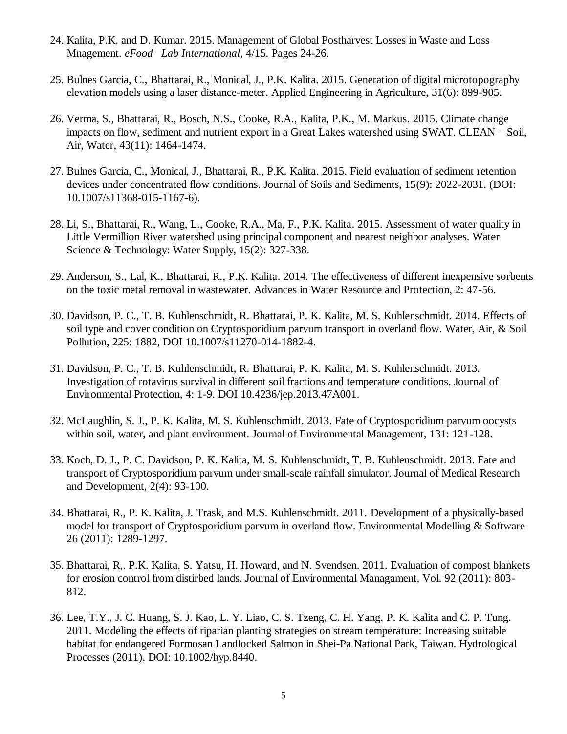- 24. Kalita, P.K. and D. Kumar. 2015. Management of Global Postharvest Losses in Waste and Loss Mnagement. *eFood –Lab International*, 4/15. Pages 24-26.
- 25. Bulnes Garcia, C., Bhattarai, R., Monical, J., P.K. Kalita. 2015. Generation of digital microtopography elevation models using a laser distance-meter. Applied Engineering in Agriculture, 31(6): 899-905.
- 26. Verma, S., Bhattarai, R., Bosch, N.S., Cooke, R.A., Kalita, P.K., M. Markus. 2015. Climate change impacts on flow, sediment and nutrient export in a Great Lakes watershed using SWAT. CLEAN – Soil, Air, Water, 43(11): 1464-1474.
- 27. Bulnes Garcia, C., Monical, J., Bhattarai, R., P.K. Kalita. 2015. Field evaluation of sediment retention devices under concentrated flow conditions. Journal of Soils and Sediments, 15(9): 2022-2031. (DOI: 10.1007/s11368-015-1167-6).
- 28. Li, S., Bhattarai, R., Wang, L., Cooke, R.A., Ma, F., P.K. Kalita. 2015. Assessment of water quality in Little Vermillion River watershed using principal component and nearest neighbor analyses. Water Science & Technology: Water Supply, 15(2): 327-338.
- 29. Anderson, S., Lal, K., Bhattarai, R., P.K. Kalita. 2014. The effectiveness of different inexpensive sorbents on the toxic metal removal in wastewater. Advances in Water Resource and Protection, 2: 47-56.
- 30. Davidson, P. C., T. B. Kuhlenschmidt, R. Bhattarai, P. K. Kalita, M. S. Kuhlenschmidt. 2014. Effects of soil type and cover condition on Cryptosporidium parvum transport in overland flow. Water, Air, & Soil Pollution, 225: 1882, DOI 10.1007/s11270-014-1882-4.
- 31. Davidson, P. C., T. B. Kuhlenschmidt, R. Bhattarai, P. K. Kalita, M. S. Kuhlenschmidt. 2013. Investigation of rotavirus survival in different soil fractions and temperature conditions. Journal of Environmental Protection, 4: 1-9. DOI 10.4236/jep.2013.47A001.
- 32. McLaughlin, S. J., P. K. Kalita, M. S. Kuhlenschmidt. 2013. Fate of Cryptosporidium parvum oocysts within soil, water, and plant environment. Journal of Environmental Management, 131: 121-128.
- 33. Koch, D. J., P. C. Davidson, P. K. Kalita, M. S. Kuhlenschmidt, T. B. Kuhlenschmidt. 2013. Fate and transport of Cryptosporidium parvum under small-scale rainfall simulator. Journal of Medical Research and Development, 2(4): 93-100.
- 34. Bhattarai, R., P. K. Kalita, J. Trask, and M.S. Kuhlenschmidt. 2011. Development of a physically-based model for transport of Cryptosporidium parvum in overland flow. Environmental Modelling & Software 26 (2011): 1289-1297.
- 35. Bhattarai, R,. P.K. Kalita, S. Yatsu, H. Howard, and N. Svendsen. 2011. Evaluation of compost blankets for erosion control from distirbed lands. Journal of Environmental Managament, Vol. 92 (2011): 803- 812.
- 36. Lee, T.Y., J. C. Huang, S. J. Kao, L. Y. Liao, C. S. Tzeng, C. H. Yang, P. K. Kalita and C. P. Tung. 2011. Modeling the effects of riparian planting strategies on stream temperature: Increasing suitable habitat for endangered Formosan Landlocked Salmon in Shei-Pa National Park, Taiwan. Hydrological Processes (2011), DOI: 10.1002/hyp.8440.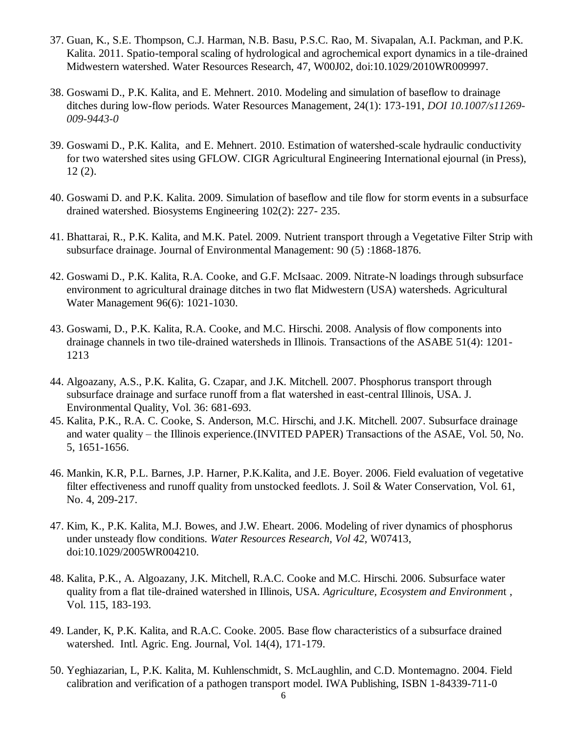- 37. Guan, K., S.E. Thompson, C.J. Harman, N.B. Basu, P.S.C. Rao, M. Sivapalan, A.I. Packman, and P.K. Kalita. 2011. Spatio-temporal scaling of hydrological and agrochemical export dynamics in a tile-drained Midwestern watershed. Water Resources Research, 47, W00J02, doi:10.1029/2010WR009997.
- 38. Goswami D., P.K. Kalita, and E. Mehnert. 2010. Modeling and simulation of baseflow to drainage ditches during low-flow periods. Water Resources Management, 24(1): 173-191, *DOI 10.1007/s11269- 009-9443-0*
- 39. Goswami D., P.K. Kalita, and E. Mehnert. 2010. Estimation of watershed-scale hydraulic conductivity for two watershed sites using GFLOW. CIGR Agricultural Engineering International ejournal (in Press), 12 (2).
- 40. Goswami D. and P.K. Kalita. 2009. Simulation of baseflow and tile flow for storm events in a subsurface drained watershed. Biosystems Engineering 102(2): 227- 235.
- 41. Bhattarai, R., P.K. Kalita, and M.K. Patel. 2009. Nutrient transport through a Vegetative Filter Strip with subsurface drainage. Journal of Environmental Management: [90 \(5\) :1](http://www.sciencedirect.com/science?_ob=PublicationURL&_tockey=%23TOC%236871%232009%23999099994%23957101%23FLA%23&_cdi=6871&_pubType=J&view=c&_auth=y&_acct=C000029040&_version=1&_urlVersion=0&_userid=571676&md5=cb184b1dc0171df8be296105e248d241)868-1876.
- 42. Goswami D., P.K. Kalita, R.A. Cooke, and G.F. McIsaac. 2009. Nitrate-N loadings through subsurface environment to agricultural drainage ditches in two flat Midwestern (USA) watersheds. Agricultural Water Management 96(6): 1021-1030.
- 43. Goswami, D., P.K. Kalita, R.A. Cooke, and M.C. Hirschi. 2008. Analysis of flow components into drainage channels in two tile-drained watersheds in Illinois. Transactions of the ASABE 51(4): 1201- 1213
- 44. Algoazany, A.S., P.K. Kalita, G. Czapar, and J.K. Mitchell. 2007. Phosphorus transport through subsurface drainage and surface runoff from a flat watershed in east-central Illinois, USA. J. Environmental Quality, Vol. 36: 681-693.
- 45. Kalita, P.K., R.A. C. Cooke, S. Anderson, M.C. Hirschi, and J.K. Mitchell. 2007. Subsurface drainage and water quality – the Illinois experience.(INVITED PAPER) Transactions of the ASAE, Vol. 50, No. 5, 1651-1656.
- 46. Mankin, K.R, P.L. Barnes, J.P. Harner, P.K.Kalita, and J.E. Boyer. 2006. Field evaluation of vegetative filter effectiveness and runoff quality from unstocked feedlots. J. Soil & Water Conservation, Vol. 61, No. 4, 209-217.
- 47. Kim, K., P.K. Kalita, M.J. Bowes, and J.W. Eheart. 2006. Modeling of river dynamics of phosphorus under unsteady flow conditions. *Water Resources Research, Vol 42,* W07413, doi:10.1029/2005WR004210.
- 48. Kalita, P.K., A. Algoazany, J.K. Mitchell, R.A.C. Cooke and M.C. Hirschi. 2006. Subsurface water quality from a flat tile-drained watershed in Illinois, USA. *Agriculture, Ecosystem and Environmen*t , Vol. 115, 183-193.
- 49. Lander, K, P.K. Kalita, and R.A.C. Cooke. 2005. Base flow characteristics of a subsurface drained watershed. Intl. Agric. Eng. Journal, Vol. 14(4), 171-179.
- 50. Yeghiazarian, L, P.K. Kalita, M. Kuhlenschmidt, S. McLaughlin, and C.D. Montemagno. 2004. Field calibration and verification of a pathogen transport model. IWA Publishing, ISBN 1-84339-711-0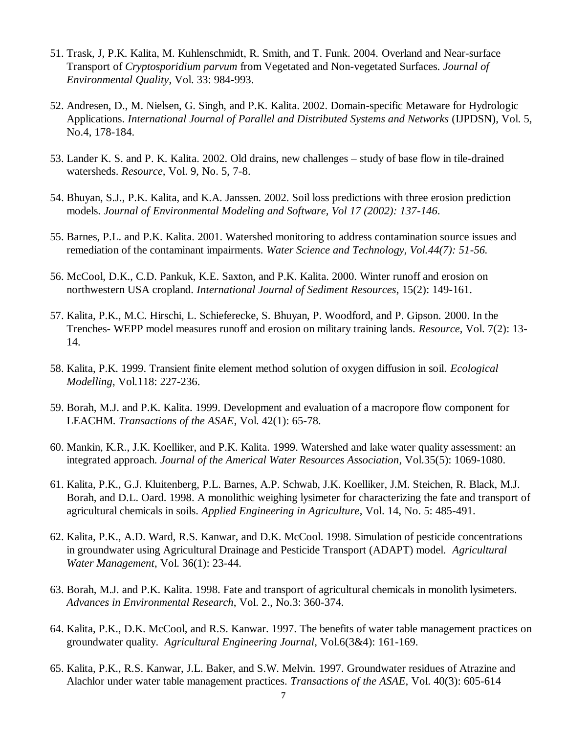- 51. Trask, J, P.K. Kalita, M. Kuhlenschmidt, R. Smith, and T. Funk. 2004. Overland and Near-surface Transport of *Cryptosporidium parvum* from Vegetated and Non-vegetated Surfaces. *Journal of Environmental Quality*, Vol. 33: 984-993.
- 52. Andresen, D., M. Nielsen, G. Singh, and P.K. Kalita. 2002. Domain-specific Metaware for Hydrologic Applications. *International Journal of Parallel and Distributed Systems and Networks* (IJPDSN), Vol. 5, No.4, 178-184.
- 53. Lander K. S. and P. K. Kalita. 2002. Old drains, new challenges study of base flow in tile-drained watersheds. *Resource,* Vol. 9, No. 5, 7-8.
- 54. Bhuyan, S.J., P.K. Kalita, and K.A. Janssen. 2002. Soil loss predictions with three erosion prediction models. *Journal of Environmental Modeling and Software, Vol 17 (2002): 137-146*.
- 55. Barnes, P.L. and P.K. Kalita. 2001. Watershed monitoring to address contamination source issues and remediation of the contaminant impairments. *Water Science and Technology, Vol.44(7): 51-56.*
- 56. McCool, D.K., C.D. Pankuk, K.E. Saxton, and P.K. Kalita. 2000. Winter runoff and erosion on northwestern USA cropland. *International Journal of Sediment Resources*, 15(2): 149-161.
- 57. Kalita, P.K., M.C. Hirschi, L. Schieferecke, S. Bhuyan, P. Woodford, and P. Gipson. 2000. In the Trenches- WEPP model measures runoff and erosion on military training lands. *Resource*, Vol. 7(2): 13- 14.
- 58. Kalita, P.K. 1999. Transient finite element method solution of oxygen diffusion in soil. *Ecological Modelling*, Vol.118: 227-236.
- 59. Borah, M.J. and P.K. Kalita. 1999. Development and evaluation of a macropore flow component for LEACHM*. Transactions of the ASAE*, Vol. 42(1): 65-78.
- 60. Mankin, K.R., J.K. Koelliker, and P.K. Kalita. 1999. Watershed and lake water quality assessment: an integrated approach. *Journal of the Americal Water Resources Association*, Vol.35(5): 1069-1080.
- 61. Kalita, P.K., G.J. Kluitenberg, P.L. Barnes, A.P. Schwab, J.K. Koelliker, J.M. Steichen, R. Black, M.J. Borah, and D.L. Oard. 1998. A monolithic weighing lysimeter for characterizing the fate and transport of agricultural chemicals in soils. *Applied Engineering in Agriculture*, Vol. 14, No. 5: 485-491.
- 62. Kalita, P.K., A.D. Ward, R.S. Kanwar, and D.K. McCool. 1998. Simulation of pesticide concentrations in groundwater using Agricultural Drainage and Pesticide Transport (ADAPT) model. *Agricultural Water Management*, Vol. 36(1): 23-44.
- 63. Borah, M.J. and P.K. Kalita. 1998. Fate and transport of agricultural chemicals in monolith lysimeters. *Advances in Environmental Research*, Vol. 2., No.3: 360-374.
- 64. Kalita, P.K., D.K. McCool, and R.S. Kanwar. 1997. The benefits of water table management practices on groundwater quality. *Agricultural Engineering Journal*, Vol.6(3&4): 161-169.
- 65. Kalita, P.K., R.S. Kanwar, J.L. Baker, and S.W. Melvin. 1997. Groundwater residues of Atrazine and Alachlor under water table management practices. *Transactions of the ASAE,* Vol. 40(3): 605-614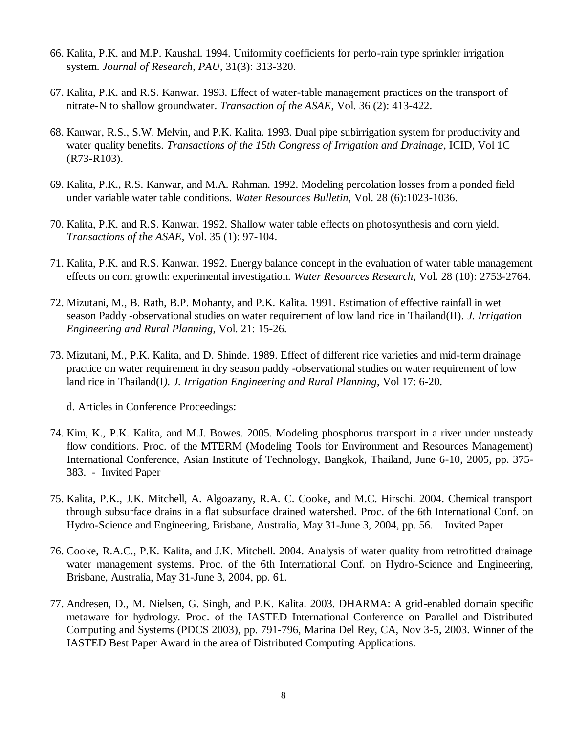- 66. Kalita, P.K. and M.P. Kaushal. 1994. Uniformity coefficients for perfo-rain type sprinkler irrigation system. *Journal of Research, PAU*, 31(3): 313-320.
- 67. Kalita, P.K. and R.S. Kanwar. 1993. Effect of water-table management practices on the transport of nitrate-N to shallow groundwater. *Transaction of the ASAE*, Vol. 36 (2): 413-422.
- 68. Kanwar, R.S., S.W. Melvin, and P.K. Kalita. 1993. Dual pipe subirrigation system for productivity and water quality benefits. *Transactions of the 15th Congress of Irrigation and Drainage*, ICID, Vol 1C (R73-R103).
- 69. Kalita, P.K., R.S. Kanwar, and M.A. Rahman. 1992. Modeling percolation losses from a ponded field under variable water table conditions. *Water Resources Bulletin*, Vol. 28 (6):1023-1036.
- 70. Kalita, P.K. and R.S. Kanwar. 1992. Shallow water table effects on photosynthesis and corn yield. *Transactions of the ASAE*, Vol. 35 (1): 97-104.
- 71. Kalita, P.K. and R.S. Kanwar. 1992. Energy balance concept in the evaluation of water table management effects on corn growth: experimental investigation. *Water Resources Research*, Vol. 28 (10): 2753-2764.
- 72. Mizutani, M., B. Rath, B.P. Mohanty, and P.K. Kalita. 1991. Estimation of effective rainfall in wet season Paddy -observational studies on water requirement of low land rice in Thailand(II). *J. Irrigation Engineering and Rural Planning*, Vol. 21: 15-26.
- 73. Mizutani, M., P.K. Kalita, and D. Shinde. 1989. Effect of different rice varieties and mid-term drainage practice on water requirement in dry season paddy -observational studies on water requirement of low land rice in Thailand(I*). J. Irrigation Engineering and Rural Planning*, Vol 17: 6-20.

d. Articles in Conference Proceedings:

- 74. Kim, K., P.K. Kalita, and M.J. Bowes. 2005. Modeling phosphorus transport in a river under unsteady flow conditions. Proc. of the MTERM (Modeling Tools for Environment and Resources Management) International Conference, Asian Institute of Technology, Bangkok, Thailand, June 6-10, 2005, pp. 375- 383. - Invited Paper
- 75. Kalita, P.K., J.K. Mitchell, A. Algoazany, R.A. C. Cooke, and M.C. Hirschi. 2004. Chemical transport through subsurface drains in a flat subsurface drained watershed. Proc. of the 6th International Conf. on Hydro-Science and Engineering, Brisbane, Australia, May 31-June 3, 2004, pp. 56. – Invited Paper
- 76. Cooke, R.A.C., P.K. Kalita, and J.K. Mitchell. 2004. Analysis of water quality from retrofitted drainage water management systems. Proc. of the 6th International Conf. on Hydro-Science and Engineering, Brisbane, Australia, May 31-June 3, 2004, pp. 61.
- 77. Andresen, D., M. Nielsen, G. Singh, and P.K. Kalita. 2003. DHARMA: A grid-enabled domain specific metaware for hydrology. Proc. of the IASTED International Conference on Parallel and Distributed Computing and Systems (PDCS 2003), pp. 791-796, Marina Del Rey, CA, Nov 3-5, 2003. Winner of the IASTED Best Paper Award in the area of Distributed Computing Applications.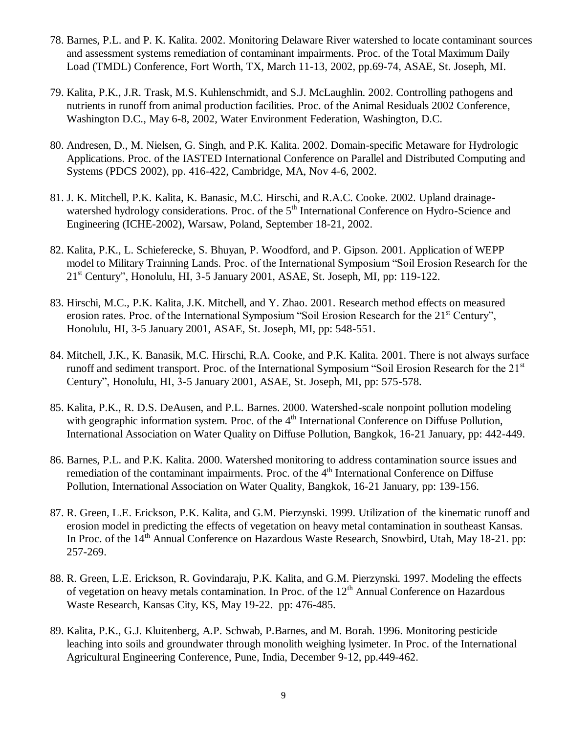- 78. Barnes, P.L. and P. K. Kalita. 2002. Monitoring Delaware River watershed to locate contaminant sources and assessment systems remediation of contaminant impairments. Proc. of the Total Maximum Daily Load (TMDL) Conference, Fort Worth, TX, March 11-13, 2002, pp.69-74, ASAE, St. Joseph, MI.
- 79. Kalita, P.K., J.R. Trask, M.S. Kuhlenschmidt, and S.J. McLaughlin. 2002. Controlling pathogens and nutrients in runoff from animal production facilities. Proc. of the Animal Residuals 2002 Conference, Washington D.C., May 6-8, 2002, Water Environment Federation, Washington, D.C.
- 80. Andresen, D., M. Nielsen, G. Singh, and P.K. Kalita. 2002. Domain-specific Metaware for Hydrologic Applications. Proc. of the IASTED International Conference on Parallel and Distributed Computing and Systems (PDCS 2002), pp. 416-422, Cambridge, MA, Nov 4-6, 2002.
- 81. J. K. Mitchell, P.K. Kalita, K. Banasic, M.C. Hirschi, and R.A.C. Cooke. 2002. Upland drainagewatershed hydrology considerations. Proc. of the 5<sup>th</sup> International Conference on Hydro-Science and Engineering (ICHE-2002), Warsaw, Poland, September 18-21, 2002.
- 82. Kalita, P.K., L. Schieferecke, S. Bhuyan, P. Woodford, and P. Gipson. 2001. Application of WEPP model to Military Trainning Lands. Proc. of the International Symposium "Soil Erosion Research for the 21st Century", Honolulu, HI, 3-5 January 2001, ASAE, St. Joseph, MI, pp: 119-122.
- 83. Hirschi, M.C., P.K. Kalita, J.K. Mitchell, and Y. Zhao. 2001. Research method effects on measured erosion rates. Proc. of the International Symposium "Soil Erosion Research for the 21<sup>st</sup> Century", Honolulu, HI, 3-5 January 2001, ASAE, St. Joseph, MI, pp: 548-551.
- 84. Mitchell, J.K., K. Banasik, M.C. Hirschi, R.A. Cooke, and P.K. Kalita. 2001. There is not always surface runoff and sediment transport. Proc. of the International Symposium "Soil Erosion Research for the 21<sup>st</sup> Century", Honolulu, HI, 3-5 January 2001, ASAE, St. Joseph, MI, pp: 575-578.
- 85. Kalita, P.K., R. D.S. DeAusen, and P.L. Barnes. 2000. Watershed-scale nonpoint pollution modeling with geographic information system. Proc. of the  $4<sup>th</sup>$  International Conference on Diffuse Pollution, International Association on Water Quality on Diffuse Pollution, Bangkok, 16-21 January, pp: 442-449.
- 86. Barnes, P.L. and P.K. Kalita. 2000. Watershed monitoring to address contamination source issues and remediation of the contaminant impairments. Proc. of the 4<sup>th</sup> International Conference on Diffuse Pollution, International Association on Water Quality, Bangkok, 16-21 January, pp: 139-156.
- 87. R. Green, L.E. Erickson, P.K. Kalita, and G.M. Pierzynski. 1999. Utilization of the kinematic runoff and erosion model in predicting the effects of vegetation on heavy metal contamination in southeast Kansas. In Proc. of the 14<sup>th</sup> Annual Conference on Hazardous Waste Research, Snowbird, Utah, May 18-21. pp: 257-269.
- 88. R. Green, L.E. Erickson, R. Govindaraju, P.K. Kalita, and G.M. Pierzynski. 1997. Modeling the effects of vegetation on heavy metals contamination. In Proc. of the  $12<sup>th</sup>$  Annual Conference on Hazardous Waste Research, Kansas City, KS, May 19-22. pp: 476-485.
- 89. Kalita, P.K., G.J. Kluitenberg, A.P. Schwab, P.Barnes, and M. Borah. 1996. Monitoring pesticide leaching into soils and groundwater through monolith weighing lysimeter. In Proc. of the International Agricultural Engineering Conference, Pune, India, December 9-12, pp.449-462.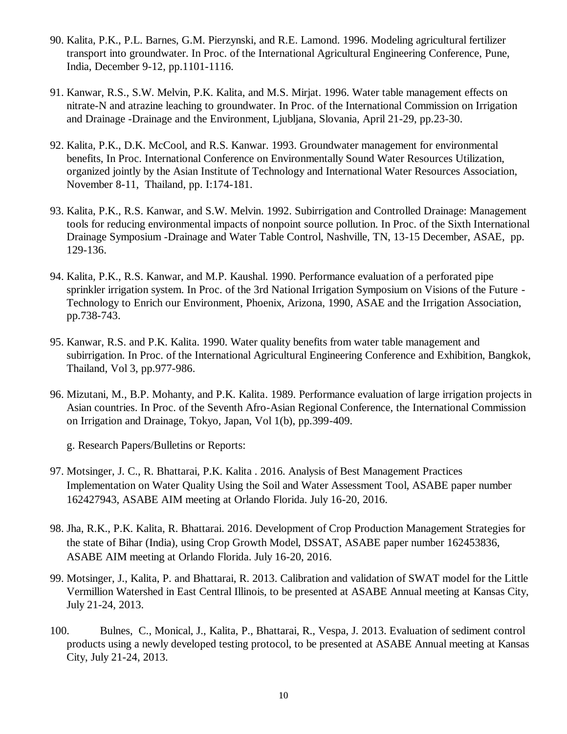- 90. Kalita, P.K., P.L. Barnes, G.M. Pierzynski, and R.E. Lamond. 1996. Modeling agricultural fertilizer transport into groundwater. In Proc. of the International Agricultural Engineering Conference, Pune, India, December 9-12, pp.1101-1116.
- 91. Kanwar, R.S., S.W. Melvin, P.K. Kalita, and M.S. Mirjat. 1996. Water table management effects on nitrate-N and atrazine leaching to groundwater. In Proc. of the International Commission on Irrigation and Drainage -Drainage and the Environment, Ljubljana, Slovania, April 21-29, pp.23-30.
- 92. Kalita, P.K., D.K. McCool, and R.S. Kanwar. 1993. Groundwater management for environmental benefits, In Proc. International Conference on Environmentally Sound Water Resources Utilization, organized jointly by the Asian Institute of Technology and International Water Resources Association, November 8-11, Thailand, pp. I:174-181.
- 93. Kalita, P.K., R.S. Kanwar, and S.W. Melvin. 1992. Subirrigation and Controlled Drainage: Management tools for reducing environmental impacts of nonpoint source pollution. In Proc. of the Sixth International Drainage Symposium -Drainage and Water Table Control, Nashville, TN, 13-15 December, ASAE, pp. 129-136.
- 94. Kalita, P.K., R.S. Kanwar, and M.P. Kaushal. 1990. Performance evaluation of a perforated pipe sprinkler irrigation system. In Proc. of the 3rd National Irrigation Symposium on Visions of the Future - Technology to Enrich our Environment, Phoenix, Arizona, 1990, ASAE and the Irrigation Association, pp.738-743.
- 95. Kanwar, R.S. and P.K. Kalita. 1990. Water quality benefits from water table management and subirrigation. In Proc. of the International Agricultural Engineering Conference and Exhibition, Bangkok, Thailand, Vol 3, pp.977-986.
- 96. Mizutani, M., B.P. Mohanty, and P.K. Kalita. 1989. Performance evaluation of large irrigation projects in Asian countries. In Proc. of the Seventh Afro-Asian Regional Conference, the International Commission on Irrigation and Drainage, Tokyo, Japan, Vol 1(b), pp.399-409.

g. Research Papers/Bulletins or Reports:

- 97. Motsinger, J. C., R. Bhattarai, P.K. Kalita . 2016. Analysis of Best Management Practices Implementation on Water Quality Using the Soil and Water Assessment Tool, ASABE paper number 162427943, ASABE AIM meeting at Orlando Florida. July 16-20, 2016.
- 98. Jha, R.K., P.K. Kalita, R. Bhattarai. 2016. Development of Crop Production Management Strategies for the state of Bihar (India), using Crop Growth Model, DSSAT, ASABE paper number 162453836, ASABE AIM meeting at Orlando Florida. July 16-20, 2016.
- 99. Motsinger, J., Kalita, P. and Bhattarai, R. 2013. Calibration and validation of SWAT model for the Little Vermillion Watershed in East Central Illinois, to be presented at ASABE Annual meeting at Kansas City, July 21-24, 2013.
- 100. Bulnes, C., Monical, J., Kalita, P., Bhattarai, R., Vespa, J. 2013. Evaluation of sediment control products using a newly developed testing protocol, to be presented at ASABE Annual meeting at Kansas City, July 21-24, 2013.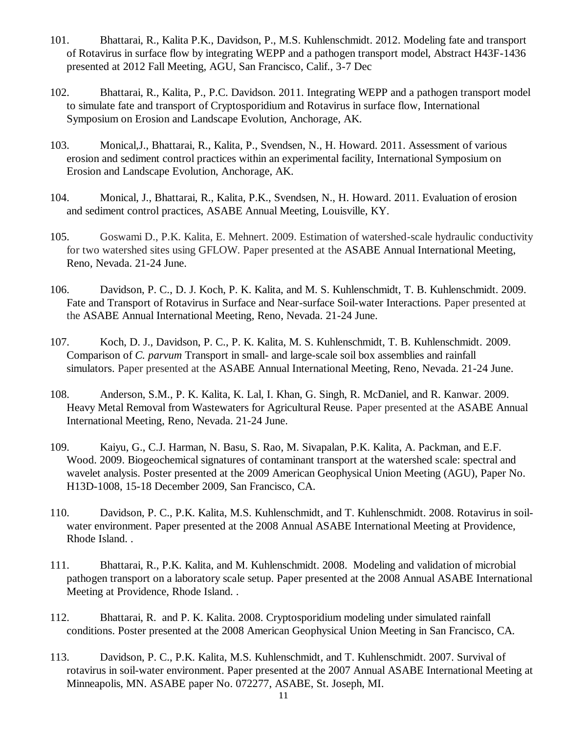- 101. Bhattarai, R., Kalita P.K., Davidson, P., M.S. Kuhlenschmidt. 2012. Modeling fate and transport of Rotavirus in surface flow by integrating WEPP and a pathogen transport model, Abstract H43F-1436 presented at 2012 Fall Meeting, AGU, San Francisco, Calif., 3-7 Dec
- 102. Bhattarai, R., Kalita, P., P.C. Davidson. 2011. Integrating WEPP and a pathogen transport model to simulate fate and transport of Cryptosporidium and Rotavirus in surface flow, International Symposium on Erosion and Landscape Evolution, Anchorage, AK.
- 103. Monical,J., Bhattarai, R., Kalita, P., Svendsen, N., H. Howard. 2011. Assessment of various erosion and sediment control practices within an experimental facility, International Symposium on Erosion and Landscape Evolution, Anchorage, AK.
- 104. Monical, J., Bhattarai, R., Kalita, P.K., Svendsen, N., H. Howard. 2011. Evaluation of erosion and sediment control practices, ASABE Annual Meeting, Louisville, KY.
- 105. Goswami D., P.K. Kalita, E. Mehnert. 2009. Estimation of watershed-scale hydraulic conductivity for two watershed sites using GFLOW. Paper presented at the ASABE Annual International Meeting, Reno, Nevada. 21-24 June.
- 106. Davidson, P. C., D. J. Koch, P. K. Kalita, and M. S. Kuhlenschmidt, T. B. Kuhlenschmidt. 2009. Fate and Transport of Rotavirus in Surface and Near-surface Soil-water Interactions. Paper presented at the ASABE Annual International Meeting, Reno, Nevada. 21-24 June.
- 107. Koch, D. J., Davidson, P. C., P. K. Kalita, M. S. Kuhlenschmidt, T. B. Kuhlenschmidt. 2009. Comparison of *C. parvum* Transport in small- and large-scale soil box assemblies and rainfall simulators. Paper presented at the ASABE Annual International Meeting, Reno, Nevada. 21-24 June.
- 108. Anderson, S.M., P. K. Kalita, K. Lal, I. Khan, G. Singh, R. McDaniel, and R. Kanwar. 2009. Heavy Metal Removal from Wastewaters for Agricultural Reuse. Paper presented at the ASABE Annual International Meeting, Reno, Nevada. 21-24 June.
- 109. Kaiyu, G., C.J. Harman, N. Basu, S. Rao, M. Sivapalan, P.K. Kalita, A. Packman, and E.F. Wood. 2009. Biogeochemical signatures of contaminant transport at the watershed scale: spectral and wavelet analysis. Poster presented at the 2009 American Geophysical Union Meeting (AGU), Paper No. H13D-1008, 15-18 December 2009, San Francisco, CA.
- 110. Davidson, P. C., P.K. Kalita, M.S. Kuhlenschmidt, and T. Kuhlenschmidt. 2008. Rotavirus in soilwater environment. Paper presented at the 2008 Annual ASABE International Meeting at Providence, Rhode Island. .
- 111. Bhattarai, R., P.K. Kalita, and M. Kuhlenschmidt. 2008. Modeling and validation of microbial pathogen transport on a laboratory scale setup. Paper presented at the 2008 Annual ASABE International Meeting at Providence, Rhode Island. .
- 112. Bhattarai, R. and P. K. Kalita. 2008. Cryptosporidium modeling under simulated rainfall conditions. Poster presented at the 2008 American Geophysical Union Meeting in San Francisco, CA.
- 113. Davidson, P. C., P.K. Kalita, M.S. Kuhlenschmidt, and T. Kuhlenschmidt. 2007. Survival of rotavirus in soil-water environment. Paper presented at the 2007 Annual ASABE International Meeting at Minneapolis, MN. ASABE paper No. 072277, ASABE, St. Joseph, MI.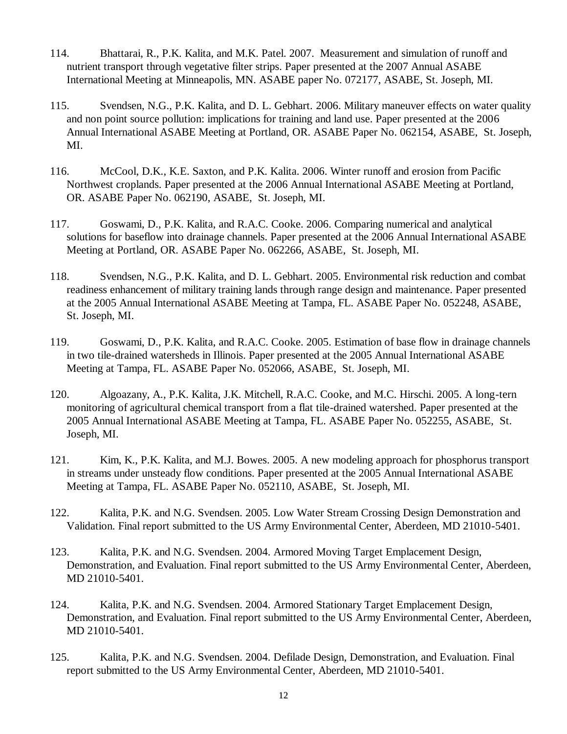- 114. Bhattarai, R., P.K. Kalita, and M.K. Patel. 2007. Measurement and simulation of runoff and nutrient transport through vegetative filter strips. Paper presented at the 2007 Annual ASABE International Meeting at Minneapolis, MN. ASABE paper No. 072177, ASABE, St. Joseph, MI.
- 115. Svendsen, N.G., P.K. Kalita, and D. L. Gebhart. 2006. Military maneuver effects on water quality and non point source pollution: implications for training and land use. Paper presented at the 2006 Annual International ASABE Meeting at Portland, OR. ASABE Paper No. 062154, ASABE, St. Joseph, MI.
- 116. McCool, D.K., K.E. Saxton, and P.K. Kalita. 2006. Winter runoff and erosion from Pacific Northwest croplands. Paper presented at the 2006 Annual International ASABE Meeting at Portland, OR. ASABE Paper No. 062190, ASABE, St. Joseph, MI.
- 117. Goswami, D., P.K. Kalita, and R.A.C. Cooke. 2006. Comparing numerical and analytical solutions for baseflow into drainage channels. Paper presented at the 2006 Annual International ASABE Meeting at Portland, OR. ASABE Paper No. 062266, ASABE, St. Joseph, MI.
- 118. Svendsen, N.G., P.K. Kalita, and D. L. Gebhart. 2005. Environmental risk reduction and combat readiness enhancement of military training lands through range design and maintenance. Paper presented at the 2005 Annual International ASABE Meeting at Tampa, FL. ASABE Paper No. 052248, ASABE, St. Joseph, MI.
- 119. Goswami, D., P.K. Kalita, and R.A.C. Cooke. 2005. Estimation of base flow in drainage channels in two tile-drained watersheds in Illinois. Paper presented at the 2005 Annual International ASABE Meeting at Tampa, FL. ASABE Paper No. 052066, ASABE, St. Joseph, MI.
- 120. Algoazany, A., P.K. Kalita, J.K. Mitchell, R.A.C. Cooke, and M.C. Hirschi. 2005. A long-tern monitoring of agricultural chemical transport from a flat tile-drained watershed. Paper presented at the 2005 Annual International ASABE Meeting at Tampa, FL. ASABE Paper No. 052255, ASABE, St. Joseph, MI.
- 121. Kim, K., P.K. Kalita, and M.J. Bowes. 2005. A new modeling approach for phosphorus transport in streams under unsteady flow conditions. Paper presented at the 2005 Annual International ASABE Meeting at Tampa, FL. ASABE Paper No. 052110, ASABE, St. Joseph, MI.
- 122. Kalita, P.K. and N.G. Svendsen. 2005. Low Water Stream Crossing Design Demonstration and Validation. Final report submitted to the US Army Environmental Center, Aberdeen, MD 21010-5401.
- 123. Kalita, P.K. and N.G. Svendsen. 2004. Armored Moving Target Emplacement Design, Demonstration, and Evaluation. Final report submitted to the US Army Environmental Center, Aberdeen, MD 21010-5401.
- 124. Kalita, P.K. and N.G. Svendsen. 2004. Armored Stationary Target Emplacement Design, Demonstration, and Evaluation. Final report submitted to the US Army Environmental Center, Aberdeen, MD 21010-5401.
- 125. Kalita, P.K. and N.G. Svendsen. 2004. Defilade Design, Demonstration, and Evaluation. Final report submitted to the US Army Environmental Center, Aberdeen, MD 21010-5401.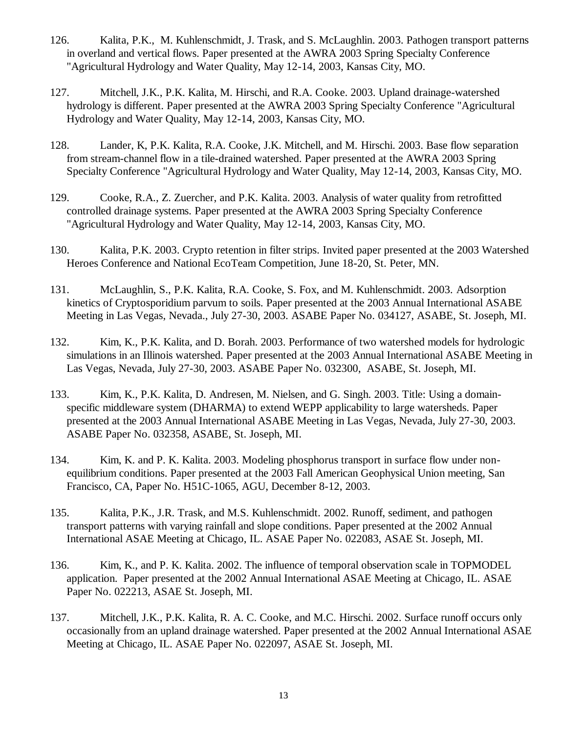- 126. Kalita, P.K., M. Kuhlenschmidt, J. Trask, and S. McLaughlin. 2003. Pathogen transport patterns in overland and vertical flows. Paper presented at the AWRA 2003 Spring Specialty Conference "Agricultural Hydrology and Water Quality, May 12-14, 2003, Kansas City, MO.
- 127. Mitchell, J.K., P.K. Kalita, M. Hirschi, and R.A. Cooke. 2003. Upland drainage-watershed hydrology is different. Paper presented at the AWRA 2003 Spring Specialty Conference "Agricultural Hydrology and Water Quality, May 12-14, 2003, Kansas City, MO.
- 128. Lander, K, P.K. Kalita, R.A. Cooke, J.K. Mitchell, and M. Hirschi. 2003. Base flow separation from stream-channel flow in a tile-drained watershed. Paper presented at the AWRA 2003 Spring Specialty Conference "Agricultural Hydrology and Water Quality, May 12-14, 2003, Kansas City, MO.
- 129. Cooke, R.A., Z. Zuercher, and P.K. Kalita. 2003. Analysis of water quality from retrofitted controlled drainage systems. Paper presented at the AWRA 2003 Spring Specialty Conference "Agricultural Hydrology and Water Quality, May 12-14, 2003, Kansas City, MO.
- 130. Kalita, P.K. 2003. Crypto retention in filter strips. Invited paper presented at the 2003 Watershed Heroes Conference and National EcoTeam Competition, June 18-20, St. Peter, MN.
- 131. McLaughlin, S., P.K. Kalita, R.A. Cooke, S. Fox, and M. Kuhlenschmidt. 2003. Adsorption kinetics of Cryptosporidium parvum to soils. Paper presented at the 2003 Annual International ASABE Meeting in Las Vegas, Nevada., July 27-30, 2003. ASABE Paper No. 034127, ASABE, St. Joseph, MI.
- 132. Kim, K., P.K. Kalita, and D. Borah. 2003. Performance of two watershed models for hydrologic simulations in an Illinois watershed. Paper presented at the 2003 Annual International ASABE Meeting in Las Vegas, Nevada, July 27-30, 2003. ASABE Paper No. 032300, ASABE, St. Joseph, MI.
- 133. Kim, K., P.K. Kalita, D. Andresen, M. Nielsen, and G. Singh. 2003. Title: Using a domainspecific middleware system (DHARMA) to extend WEPP applicability to large watersheds. Paper presented at the 2003 Annual International ASABE Meeting in Las Vegas, Nevada, July 27-30, 2003. ASABE Paper No. 032358, ASABE, St. Joseph, MI.
- 134. Kim, K. and P. K. Kalita. 2003. Modeling phosphorus transport in surface flow under nonequilibrium conditions. Paper presented at the 2003 Fall American Geophysical Union meeting, San Francisco, CA, Paper No. H51C-1065, AGU, December 8-12, 2003.
- 135. Kalita, P.K., J.R. Trask, and M.S. Kuhlenschmidt. 2002. Runoff, sediment, and pathogen transport patterns with varying rainfall and slope conditions. Paper presented at the 2002 Annual International ASAE Meeting at Chicago, IL. ASAE Paper No. 022083, ASAE St. Joseph, MI.
- 136. Kim, K., and P. K. Kalita. 2002. The influence of temporal observation scale in TOPMODEL application. Paper presented at the 2002 Annual International ASAE Meeting at Chicago, IL. ASAE Paper No. 022213, ASAE St. Joseph, MI.
- 137. Mitchell, J.K., P.K. Kalita, R. A. C. Cooke, and M.C. Hirschi. 2002. Surface runoff occurs only occasionally from an upland drainage watershed. Paper presented at the 2002 Annual International ASAE Meeting at Chicago, IL. ASAE Paper No. 022097, ASAE St. Joseph, MI.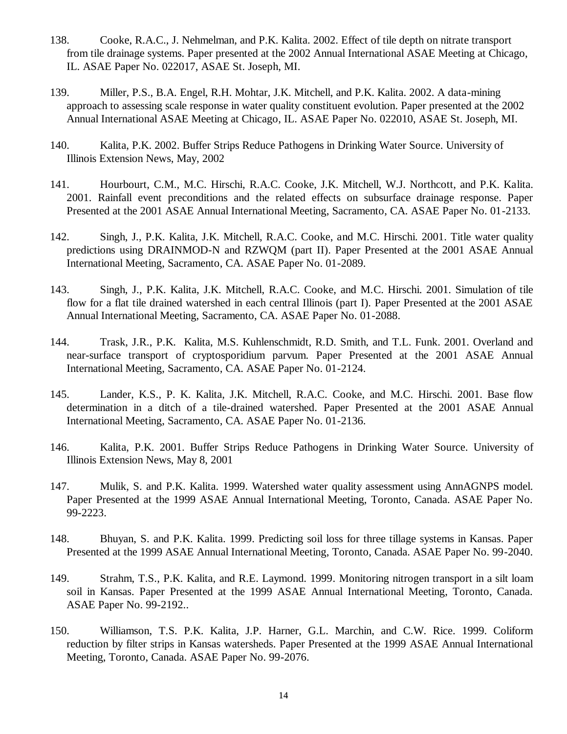- 138. Cooke, R.A.C., J. Nehmelman, and P.K. Kalita. 2002. Effect of tile depth on nitrate transport from tile drainage systems. Paper presented at the 2002 Annual International ASAE Meeting at Chicago, IL. ASAE Paper No. 022017, ASAE St. Joseph, MI.
- 139. Miller, P.S., B.A. Engel, R.H. Mohtar, J.K. Mitchell, and P.K. Kalita. 2002. A data-mining approach to assessing scale response in water quality constituent evolution. Paper presented at the 2002 Annual International ASAE Meeting at Chicago, IL. ASAE Paper No. 022010, ASAE St. Joseph, MI.
- 140. Kalita, P.K. 2002. Buffer Strips Reduce Pathogens in Drinking Water Source. University of Illinois Extension News, May, 2002
- 141. Hourbourt, C.M., M.C. Hirschi, R.A.C. Cooke, J.K. Mitchell, W.J. Northcott, and P.K. Kalita. 2001. Rainfall event preconditions and the related effects on subsurface drainage response. Paper Presented at the 2001 ASAE Annual International Meeting, Sacramento, CA. ASAE Paper No. 01-2133.
- 142. Singh, J., P.K. Kalita, J.K. Mitchell, R.A.C. Cooke, and M.C. Hirschi. 2001. Title water quality predictions using DRAINMOD-N and RZWQM (part II). Paper Presented at the 2001 ASAE Annual International Meeting, Sacramento, CA. ASAE Paper No. 01-2089.
- 143. Singh, J., P.K. Kalita, J.K. Mitchell, R.A.C. Cooke, and M.C. Hirschi. 2001. Simulation of tile flow for a flat tile drained watershed in each central Illinois (part I). Paper Presented at the 2001 ASAE Annual International Meeting, Sacramento, CA. ASAE Paper No. 01-2088.
- 144. Trask, J.R., P.K. Kalita, M.S. Kuhlenschmidt, R.D. Smith, and T.L. Funk. 2001. Overland and near-surface transport of cryptosporidium parvum. Paper Presented at the 2001 ASAE Annual International Meeting, Sacramento, CA. ASAE Paper No. 01-2124.
- 145. Lander, K.S., P. K. Kalita, J.K. Mitchell, R.A.C. Cooke, and M.C. Hirschi. 2001. Base flow determination in a ditch of a tile-drained watershed. Paper Presented at the 2001 ASAE Annual International Meeting, Sacramento, CA. ASAE Paper No. 01-2136.
- 146. Kalita, P.K. 2001. Buffer Strips Reduce Pathogens in Drinking Water Source. University of Illinois Extension News, May 8, 2001
- 147. Mulik, S. and P.K. Kalita. 1999. Watershed water quality assessment using AnnAGNPS model. Paper Presented at the 1999 ASAE Annual International Meeting, Toronto, Canada. ASAE Paper No. 99-2223.
- 148. Bhuyan, S. and P.K. Kalita. 1999. Predicting soil loss for three tillage systems in Kansas. Paper Presented at the 1999 ASAE Annual International Meeting, Toronto, Canada. ASAE Paper No. 99-2040.
- 149. Strahm, T.S., P.K. Kalita, and R.E. Laymond. 1999. Monitoring nitrogen transport in a silt loam soil in Kansas. Paper Presented at the 1999 ASAE Annual International Meeting, Toronto, Canada. ASAE Paper No. 99-2192..
- 150. Williamson, T.S. P.K. Kalita, J.P. Harner, G.L. Marchin, and C.W. Rice. 1999. Coliform reduction by filter strips in Kansas watersheds. Paper Presented at the 1999 ASAE Annual International Meeting, Toronto, Canada. ASAE Paper No. 99-2076.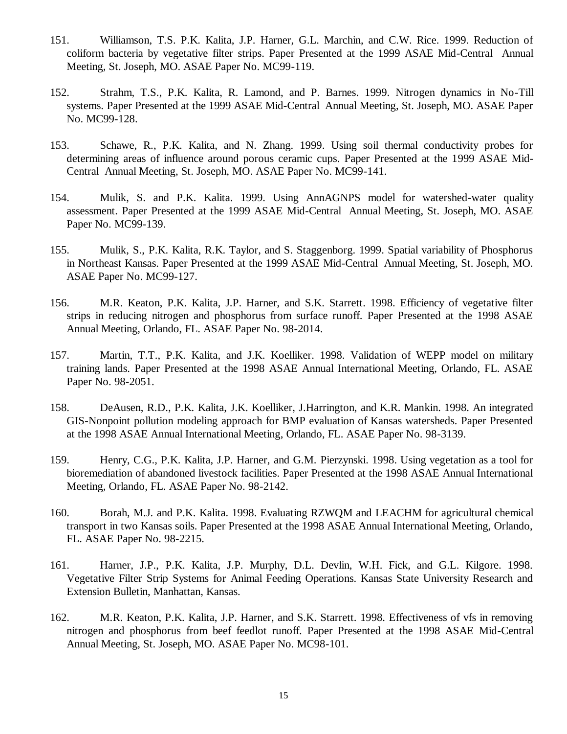- 151. Williamson, T.S. P.K. Kalita, J.P. Harner, G.L. Marchin, and C.W. Rice. 1999. Reduction of coliform bacteria by vegetative filter strips. Paper Presented at the 1999 ASAE Mid-Central Annual Meeting, St. Joseph, MO. ASAE Paper No. MC99-119.
- 152. Strahm, T.S., P.K. Kalita, R. Lamond, and P. Barnes. 1999. Nitrogen dynamics in No-Till systems. Paper Presented at the 1999 ASAE Mid-Central Annual Meeting, St. Joseph, MO. ASAE Paper No. MC99-128.
- 153. Schawe, R., P.K. Kalita, and N. Zhang. 1999. Using soil thermal conductivity probes for determining areas of influence around porous ceramic cups. Paper Presented at the 1999 ASAE Mid-Central Annual Meeting, St. Joseph, MO. ASAE Paper No. MC99-141.
- 154. Mulik, S. and P.K. Kalita. 1999. Using AnnAGNPS model for watershed-water quality assessment. Paper Presented at the 1999 ASAE Mid-Central Annual Meeting, St. Joseph, MO. ASAE Paper No. MC99-139.
- 155. Mulik, S., P.K. Kalita, R.K. Taylor, and S. Staggenborg. 1999. Spatial variability of Phosphorus in Northeast Kansas. Paper Presented at the 1999 ASAE Mid-Central Annual Meeting, St. Joseph, MO. ASAE Paper No. MC99-127.
- 156. M.R. Keaton, P.K. Kalita, J.P. Harner, and S.K. Starrett. 1998. Efficiency of vegetative filter strips in reducing nitrogen and phosphorus from surface runoff. Paper Presented at the 1998 ASAE Annual Meeting, Orlando, FL. ASAE Paper No. 98-2014.
- 157. Martin, T.T., P.K. Kalita, and J.K. Koelliker. 1998. Validation of WEPP model on military training lands. Paper Presented at the 1998 ASAE Annual International Meeting, Orlando, FL. ASAE Paper No. 98-2051.
- 158. DeAusen, R.D., P.K. Kalita, J.K. Koelliker, J.Harrington, and K.R. Mankin. 1998. An integrated GIS-Nonpoint pollution modeling approach for BMP evaluation of Kansas watersheds. Paper Presented at the 1998 ASAE Annual International Meeting, Orlando, FL. ASAE Paper No. 98-3139.
- 159. Henry, C.G., P.K. Kalita, J.P. Harner, and G.M. Pierzynski. 1998. Using vegetation as a tool for bioremediation of abandoned livestock facilities. Paper Presented at the 1998 ASAE Annual International Meeting, Orlando, FL. ASAE Paper No. 98-2142.
- 160. Borah, M.J. and P.K. Kalita. 1998. Evaluating RZWQM and LEACHM for agricultural chemical transport in two Kansas soils. Paper Presented at the 1998 ASAE Annual International Meeting, Orlando, FL. ASAE Paper No. 98-2215.
- 161. Harner, J.P., P.K. Kalita, J.P. Murphy, D.L. Devlin, W.H. Fick, and G.L. Kilgore. 1998. Vegetative Filter Strip Systems for Animal Feeding Operations. Kansas State University Research and Extension Bulletin, Manhattan, Kansas.
- 162. M.R. Keaton, P.K. Kalita, J.P. Harner, and S.K. Starrett. 1998. Effectiveness of vfs in removing nitrogen and phosphorus from beef feedlot runoff. Paper Presented at the 1998 ASAE Mid-Central Annual Meeting, St. Joseph, MO. ASAE Paper No. MC98-101.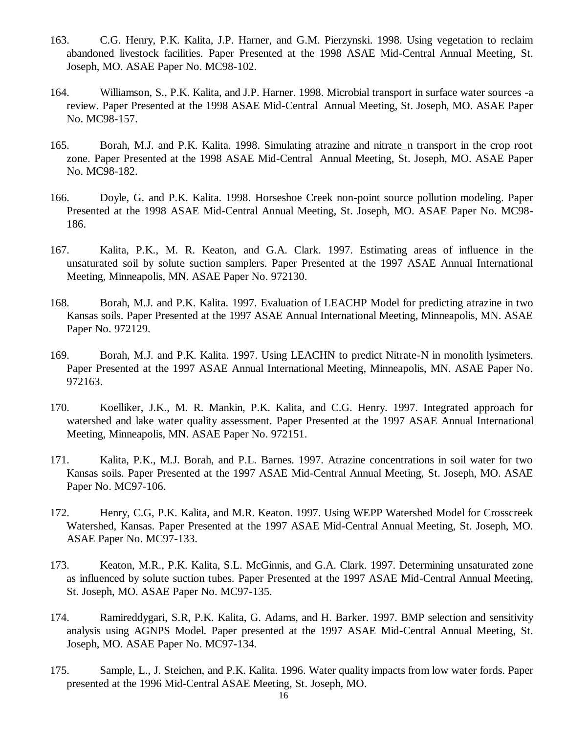- 163. C.G. Henry, P.K. Kalita, J.P. Harner, and G.M. Pierzynski. 1998. Using vegetation to reclaim abandoned livestock facilities. Paper Presented at the 1998 ASAE Mid-Central Annual Meeting, St. Joseph, MO. ASAE Paper No. MC98-102.
- 164. Williamson, S., P.K. Kalita, and J.P. Harner. 1998. Microbial transport in surface water sources -a review. Paper Presented at the 1998 ASAE Mid-Central Annual Meeting, St. Joseph, MO. ASAE Paper No. MC98-157.
- 165. Borah, M.J. and P.K. Kalita. 1998. Simulating atrazine and nitrate\_n transport in the crop root zone. Paper Presented at the 1998 ASAE Mid-Central Annual Meeting, St. Joseph, MO. ASAE Paper No. MC98-182.
- 166. Doyle, G. and P.K. Kalita. 1998. Horseshoe Creek non-point source pollution modeling. Paper Presented at the 1998 ASAE Mid-Central Annual Meeting, St. Joseph, MO. ASAE Paper No. MC98- 186.
- 167. Kalita, P.K., M. R. Keaton, and G.A. Clark. 1997. Estimating areas of influence in the unsaturated soil by solute suction samplers. Paper Presented at the 1997 ASAE Annual International Meeting, Minneapolis, MN. ASAE Paper No. 972130.
- 168. Borah, M.J. and P.K. Kalita. 1997. Evaluation of LEACHP Model for predicting atrazine in two Kansas soils. Paper Presented at the 1997 ASAE Annual International Meeting, Minneapolis, MN. ASAE Paper No. 972129.
- 169. Borah, M.J. and P.K. Kalita. 1997. Using LEACHN to predict Nitrate-N in monolith lysimeters. Paper Presented at the 1997 ASAE Annual International Meeting, Minneapolis, MN. ASAE Paper No. 972163.
- 170. Koelliker, J.K., M. R. Mankin, P.K. Kalita, and C.G. Henry. 1997. Integrated approach for watershed and lake water quality assessment. Paper Presented at the 1997 ASAE Annual International Meeting, Minneapolis, MN. ASAE Paper No. 972151.
- 171. Kalita, P.K., M.J. Borah, and P.L. Barnes. 1997. Atrazine concentrations in soil water for two Kansas soils. Paper Presented at the 1997 ASAE Mid-Central Annual Meeting, St. Joseph, MO. ASAE Paper No. MC97-106.
- 172. Henry, C.G, P.K. Kalita, and M.R. Keaton. 1997. Using WEPP Watershed Model for Crosscreek Watershed, Kansas. Paper Presented at the 1997 ASAE Mid-Central Annual Meeting, St. Joseph, MO. ASAE Paper No. MC97-133.
- 173. Keaton, M.R., P.K. Kalita, S.L. McGinnis, and G.A. Clark. 1997. Determining unsaturated zone as influenced by solute suction tubes. Paper Presented at the 1997 ASAE Mid-Central Annual Meeting, St. Joseph, MO. ASAE Paper No. MC97-135.
- 174. Ramireddygari, S.R, P.K. Kalita, G. Adams, and H. Barker. 1997. BMP selection and sensitivity analysis using AGNPS Model. Paper presented at the 1997 ASAE Mid-Central Annual Meeting, St. Joseph, MO. ASAE Paper No. MC97-134.
- 175. Sample, L., J. Steichen, and P.K. Kalita. 1996. Water quality impacts from low water fords. Paper presented at the 1996 Mid-Central ASAE Meeting, St. Joseph, MO.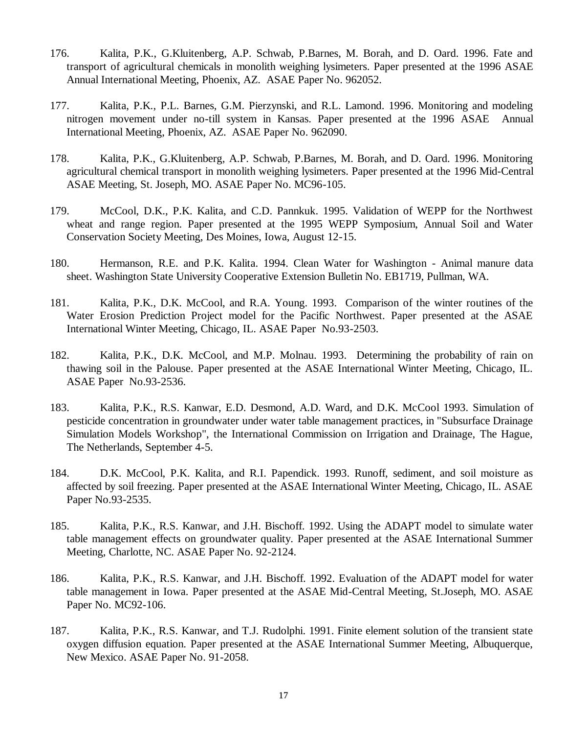- 176. Kalita, P.K., G.Kluitenberg, A.P. Schwab, P.Barnes, M. Borah, and D. Oard. 1996. Fate and transport of agricultural chemicals in monolith weighing lysimeters. Paper presented at the 1996 ASAE Annual International Meeting, Phoenix, AZ. ASAE Paper No. 962052.
- 177. Kalita, P.K., P.L. Barnes, G.M. Pierzynski, and R.L. Lamond. 1996. Monitoring and modeling nitrogen movement under no-till system in Kansas. Paper presented at the 1996 ASAE Annual International Meeting, Phoenix, AZ. ASAE Paper No. 962090.
- 178. Kalita, P.K., G.Kluitenberg, A.P. Schwab, P.Barnes, M. Borah, and D. Oard. 1996. Monitoring agricultural chemical transport in monolith weighing lysimeters. Paper presented at the 1996 Mid-Central ASAE Meeting, St. Joseph, MO. ASAE Paper No. MC96-105.
- 179. McCool, D.K., P.K. Kalita, and C.D. Pannkuk. 1995. Validation of WEPP for the Northwest wheat and range region. Paper presented at the 1995 WEPP Symposium, Annual Soil and Water Conservation Society Meeting, Des Moines, Iowa, August 12-15.
- 180. Hermanson, R.E. and P.K. Kalita. 1994. Clean Water for Washington Animal manure data sheet. Washington State University Cooperative Extension Bulletin No. EB1719, Pullman, WA.
- 181. Kalita, P.K., D.K. McCool, and R.A. Young. 1993. Comparison of the winter routines of the Water Erosion Prediction Project model for the Pacific Northwest. Paper presented at the ASAE International Winter Meeting, Chicago, IL. ASAE Paper No.93-2503.
- 182. Kalita, P.K., D.K. McCool, and M.P. Molnau. 1993. Determining the probability of rain on thawing soil in the Palouse. Paper presented at the ASAE International Winter Meeting, Chicago, IL. ASAE Paper No.93-2536.
- 183. Kalita, P.K., R.S. Kanwar, E.D. Desmond, A.D. Ward, and D.K. McCool 1993. Simulation of pesticide concentration in groundwater under water table management practices, in "Subsurface Drainage Simulation Models Workshop", the International Commission on Irrigation and Drainage, The Hague, The Netherlands, September 4-5.
- 184. D.K. McCool, P.K. Kalita, and R.I. Papendick. 1993. Runoff, sediment, and soil moisture as affected by soil freezing. Paper presented at the ASAE International Winter Meeting, Chicago, IL. ASAE Paper No.93-2535.
- 185. Kalita, P.K., R.S. Kanwar, and J.H. Bischoff. 1992. Using the ADAPT model to simulate water table management effects on groundwater quality. Paper presented at the ASAE International Summer Meeting, Charlotte, NC. ASAE Paper No. 92-2124.
- 186. Kalita, P.K., R.S. Kanwar, and J.H. Bischoff. 1992. Evaluation of the ADAPT model for water table management in Iowa. Paper presented at the ASAE Mid-Central Meeting, St.Joseph, MO. ASAE Paper No. MC92-106.
- 187. Kalita, P.K., R.S. Kanwar, and T.J. Rudolphi. 1991. Finite element solution of the transient state oxygen diffusion equation. Paper presented at the ASAE International Summer Meeting, Albuquerque, New Mexico. ASAE Paper No. 91-2058.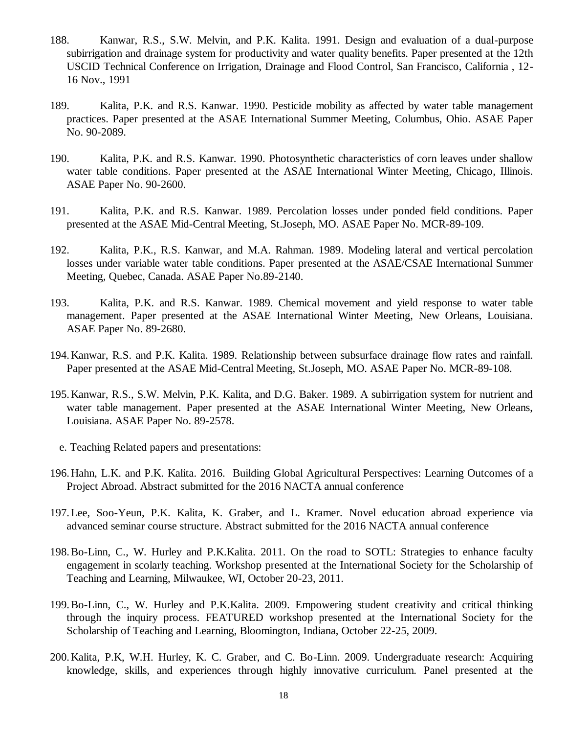- 188. Kanwar, R.S., S.W. Melvin, and P.K. Kalita. 1991. Design and evaluation of a dual-purpose subirrigation and drainage system for productivity and water quality benefits. Paper presented at the 12th USCID Technical Conference on Irrigation, Drainage and Flood Control, San Francisco, California , 12- 16 Nov., 1991
- 189. Kalita, P.K. and R.S. Kanwar. 1990. Pesticide mobility as affected by water table management practices. Paper presented at the ASAE International Summer Meeting, Columbus, Ohio. ASAE Paper No. 90-2089.
- 190. Kalita, P.K. and R.S. Kanwar. 1990. Photosynthetic characteristics of corn leaves under shallow water table conditions. Paper presented at the ASAE International Winter Meeting, Chicago, Illinois. ASAE Paper No. 90-2600.
- 191. Kalita, P.K. and R.S. Kanwar. 1989. Percolation losses under ponded field conditions. Paper presented at the ASAE Mid-Central Meeting, St.Joseph, MO. ASAE Paper No. MCR-89-109.
- 192. Kalita, P.K., R.S. Kanwar, and M.A. Rahman. 1989. Modeling lateral and vertical percolation losses under variable water table conditions. Paper presented at the ASAE/CSAE International Summer Meeting, Quebec, Canada. ASAE Paper No.89-2140.
- 193. Kalita, P.K. and R.S. Kanwar. 1989. Chemical movement and yield response to water table management. Paper presented at the ASAE International Winter Meeting, New Orleans, Louisiana. ASAE Paper No. 89-2680.
- 194.Kanwar, R.S. and P.K. Kalita. 1989. Relationship between subsurface drainage flow rates and rainfall. Paper presented at the ASAE Mid-Central Meeting, St.Joseph, MO. ASAE Paper No. MCR-89-108.
- 195.Kanwar, R.S., S.W. Melvin, P.K. Kalita, and D.G. Baker. 1989. A subirrigation system for nutrient and water table management. Paper presented at the ASAE International Winter Meeting, New Orleans, Louisiana. ASAE Paper No. 89-2578.
	- e. Teaching Related papers and presentations:
- 196.Hahn, L.K. and P.K. Kalita. 2016. Building Global Agricultural Perspectives: Learning Outcomes of a Project Abroad. Abstract submitted for the 2016 NACTA annual conference
- 197.Lee, Soo-Yeun, P.K. Kalita, K. Graber, and L. Kramer. Novel education abroad experience via advanced seminar course structure. Abstract submitted for the 2016 NACTA annual conference
- 198.Bo-Linn, C., W. Hurley and P.K.Kalita. 2011. On the road to SOTL: Strategies to enhance faculty engagement in scolarly teaching. Workshop presented at the International Society for the Scholarship of Teaching and Learning, Milwaukee, WI, October 20-23, 2011.
- 199.Bo-Linn, C., W. Hurley and P.K.Kalita. 2009. Empowering student creativity and critical thinking through the inquiry process. FEATURED workshop presented at the International Society for the Scholarship of Teaching and Learning, Bloomington, Indiana, October 22-25, 2009.
- 200.Kalita, P.K, W.H. Hurley, K. C. Graber, and C. Bo-Linn. 2009. Undergraduate research: Acquiring knowledge, skills, and experiences through highly innovative curriculum. Panel presented at the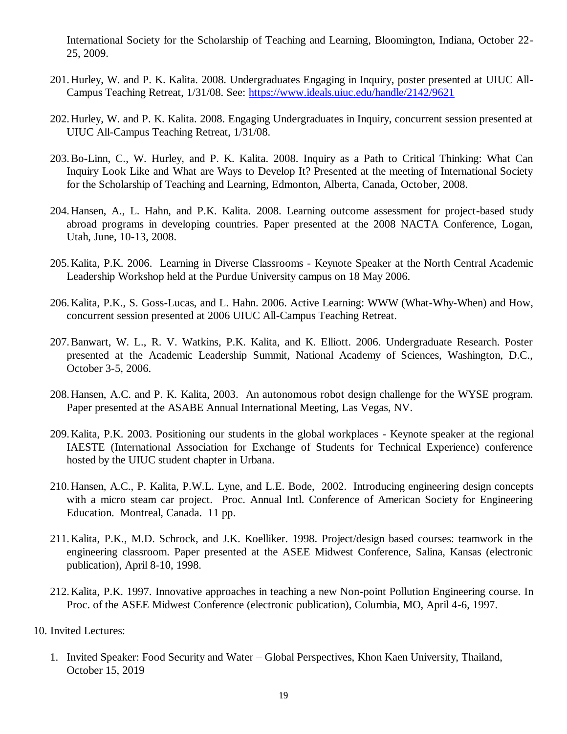International Society for the Scholarship of Teaching and Learning, Bloomington, Indiana, October 22- 25, 2009.

- 201.Hurley, W. and P. K. Kalita. 2008. Undergraduates Engaging in Inquiry, poster presented at UIUC All-Campus Teaching Retreat, 1/31/08. See:<https://www.ideals.uiuc.edu/handle/2142/9621>
- 202.Hurley, W. and P. K. Kalita. 2008. Engaging Undergraduates in Inquiry, concurrent session presented at UIUC All-Campus Teaching Retreat, 1/31/08.
- 203.Bo-Linn, C., W. Hurley, and P. K. Kalita. 2008. Inquiry as a Path to Critical Thinking: What Can Inquiry Look Like and What are Ways to Develop It? Presented at the meeting of International Society for the Scholarship of Teaching and Learning, Edmonton, Alberta, Canada, October, 2008.
- 204.Hansen, A., L. Hahn, and P.K. Kalita. 2008. Learning outcome assessment for project-based study abroad programs in developing countries. Paper presented at the 2008 NACTA Conference, Logan, Utah, June, 10-13, 2008.
- 205.Kalita, P.K. 2006. Learning in Diverse Classrooms Keynote Speaker at the North Central Academic Leadership Workshop held at the Purdue University campus on 18 May 2006.
- 206.Kalita, P.K., S. Goss-Lucas, and L. Hahn. 2006. Active Learning: WWW (What-Why-When) and How, concurrent session presented at 2006 UIUC All-Campus Teaching Retreat.
- 207.Banwart, W. L., R. V. Watkins, P.K. Kalita, and K. Elliott. 2006. Undergraduate Research. Poster presented at the Academic Leadership Summit, National Academy of Sciences, Washington, D.C., October 3-5, 2006.
- 208.Hansen, A.C. and P. K. Kalita, 2003. An autonomous robot design challenge for the WYSE program. Paper presented at the ASABE Annual International Meeting, Las Vegas, NV.
- 209.Kalita, P.K. 2003. Positioning our students in the global workplaces Keynote speaker at the regional IAESTE (International Association for Exchange of Students for Technical Experience) conference hosted by the UIUC student chapter in Urbana.
- 210.Hansen, A.C., P. Kalita, P.W.L. Lyne, and L.E. Bode, 2002. Introducing engineering design concepts with a micro steam car project. Proc. Annual Intl. Conference of American Society for Engineering Education. Montreal, Canada. 11 pp.
- 211.Kalita, P.K., M.D. Schrock, and J.K. Koelliker. 1998. Project/design based courses: teamwork in the engineering classroom. Paper presented at the ASEE Midwest Conference, Salina, Kansas (electronic publication), April 8-10, 1998.
- 212.Kalita, P.K. 1997. Innovative approaches in teaching a new Non-point Pollution Engineering course. In Proc. of the ASEE Midwest Conference (electronic publication), Columbia, MO, April 4-6, 1997.
- 10. Invited Lectures:
	- 1. Invited Speaker: Food Security and Water Global Perspectives, Khon Kaen University, Thailand, October 15, 2019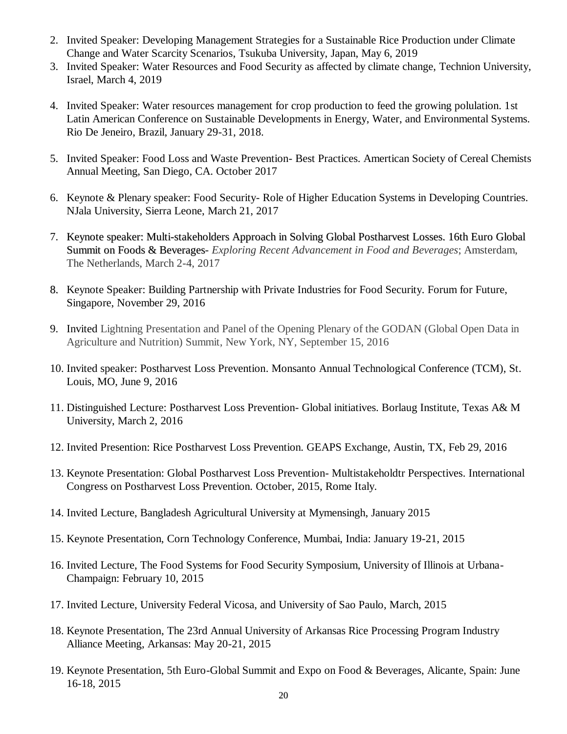- 2. Invited Speaker: Developing Management Strategies for a Sustainable Rice Production under Climate Change and Water Scarcity Scenarios, Tsukuba University, Japan, May 6, 2019
- 3. Invited Speaker: Water Resources and Food Security as affected by climate change, Technion University, Israel, March 4, 2019
- 4. Invited Speaker: Water resources management for crop production to feed the growing polulation. 1st Latin American Conference on Sustainable Developments in Energy, Water, and Environmental Systems. Rio De Jeneiro, Brazil, January 29-31, 2018.
- 5. Invited Speaker: Food Loss and Waste Prevention- Best Practices. Amertican Society of Cereal Chemists Annual Meeting, San Diego, CA. October 2017
- 6. Keynote & Plenary speaker: Food Security- Role of Higher Education Systems in Developing Countries. NJala University, Sierra Leone, March 21, 2017
- 7. Keynote speaker: Multi-stakeholders Approach in Solving Global Postharvest Losses. 16th Euro Global Summit on Foods & Beverages- *Exploring Recent Advancement in Food and Beverages*; Amsterdam, The Netherlands, March 2-4, 2017
- 8. Keynote Speaker: Building Partnership with Private Industries for Food Security. Forum for Future, Singapore, November 29, 2016
- 9. Invited Lightning Presentation and Panel of the Opening Plenary of the GODAN (Global Open Data in Agriculture and Nutrition) Summit, New York, NY, September 15, 2016
- 10. Invited speaker: Postharvest Loss Prevention. Monsanto Annual Technological Conference (TCM), St. Louis, MO, June 9, 2016
- 11. Distinguished Lecture: Postharvest Loss Prevention- Global initiatives. Borlaug Institute, Texas A& M University, March 2, 2016
- 12. Invited Presention: Rice Postharvest Loss Prevention. GEAPS Exchange, Austin, TX, Feb 29, 2016
- 13. Keynote Presentation: Global Postharvest Loss Prevention- Multistakeholdtr Perspectives. International Congress on Postharvest Loss Prevention. October, 2015, Rome Italy.
- 14. Invited Lecture, Bangladesh Agricultural University at Mymensingh, January 2015
- 15. Keynote Presentation, Corn Technology Conference, Mumbai, India: January 19-21, 2015
- 16. Invited Lecture, The Food Systems for Food Security Symposium, University of Illinois at Urbana-Champaign: February 10, 2015
- 17. Invited Lecture, University Federal Vicosa, and University of Sao Paulo, March, 2015
- 18. Keynote Presentation, The 23rd Annual University of Arkansas Rice Processing Program Industry Alliance Meeting, Arkansas: May 20-21, 2015
- 19. Keynote Presentation, 5th Euro-Global Summit and Expo on Food & Beverages, Alicante, Spain: June 16-18, 2015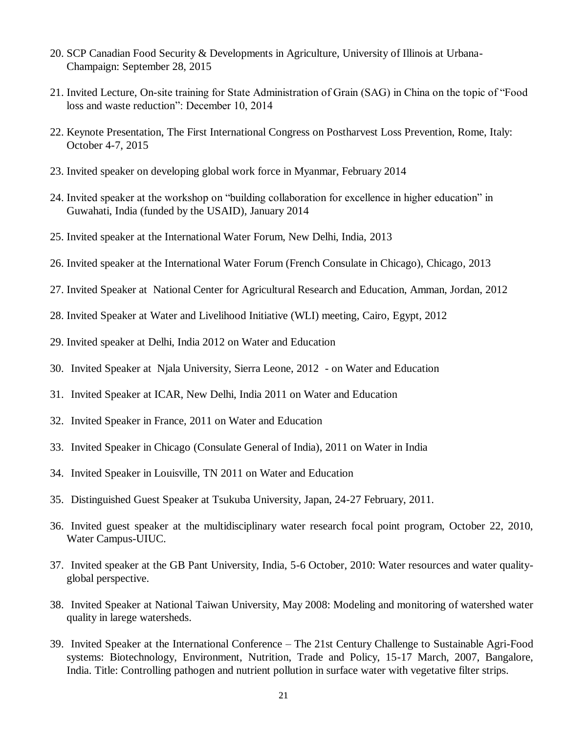- 20. SCP Canadian Food Security & Developments in Agriculture, University of Illinois at Urbana-Champaign: September 28, 2015
- 21. Invited Lecture, On-site training for State Administration of Grain (SAG) in China on the topic of "Food loss and waste reduction": December 10, 2014
- 22. Keynote Presentation, The First International Congress on Postharvest Loss Prevention, Rome, Italy: October 4-7, 2015
- 23. Invited speaker on developing global work force in Myanmar, February 2014
- 24. Invited speaker at the workshop on "building collaboration for excellence in higher education" in Guwahati, India (funded by the USAID), January 2014
- 25. Invited speaker at the International Water Forum, New Delhi, India, 2013
- 26. Invited speaker at the International Water Forum (French Consulate in Chicago), Chicago, 2013
- 27. Invited Speaker at National Center for Agricultural Research and Education, Amman, Jordan, 2012
- 28. Invited Speaker at Water and Livelihood Initiative (WLI) meeting, Cairo, Egypt, 2012
- 29. Invited speaker at Delhi, India 2012 on Water and Education
- 30. Invited Speaker at Njala University, Sierra Leone, 2012 on Water and Education
- 31. Invited Speaker at ICAR, New Delhi, India 2011 on Water and Education
- 32. Invited Speaker in France, 2011 on Water and Education
- 33. Invited Speaker in Chicago (Consulate General of India), 2011 on Water in India
- 34. Invited Speaker in Louisville, TN 2011 on Water and Education
- 35. Distinguished Guest Speaker at Tsukuba University, Japan, 24-27 February, 2011.
- 36. Invited guest speaker at the multidisciplinary water research focal point program, October 22, 2010, Water Campus-UIUC.
- 37. Invited speaker at the GB Pant University, India, 5-6 October, 2010: Water resources and water qualityglobal perspective.
- 38. Invited Speaker at National Taiwan University, May 2008: Modeling and monitoring of watershed water quality in larege watersheds.
- 39. Invited Speaker at the International Conference The 21st Century Challenge to Sustainable Agri-Food systems: Biotechnology, Environment, Nutrition, Trade and Policy, 15-17 March, 2007, Bangalore, India. Title: Controlling pathogen and nutrient pollution in surface water with vegetative filter strips.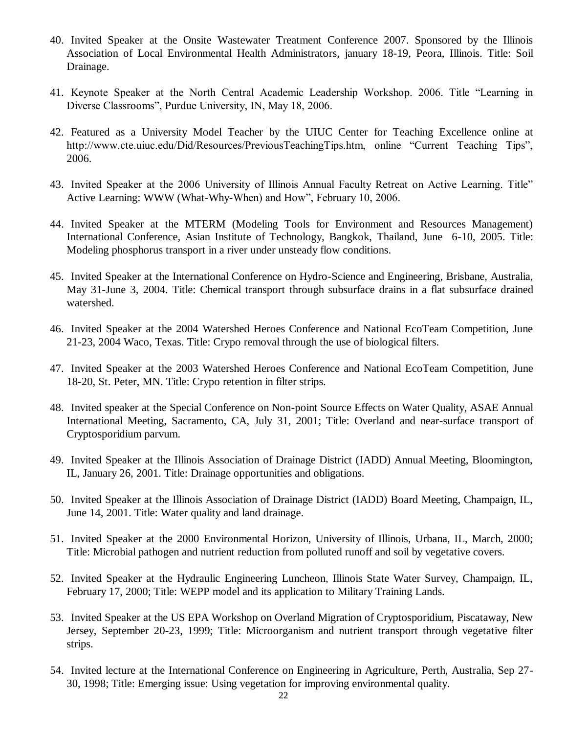- 40. Invited Speaker at the Onsite Wastewater Treatment Conference 2007. Sponsored by the Illinois Association of Local Environmental Health Administrators, january 18-19, Peora, Illinois. Title: Soil Drainage.
- 41. Keynote Speaker at the North Central Academic Leadership Workshop. 2006. Title "Learning in Diverse Classrooms", Purdue University, IN, May 18, 2006.
- 42. Featured as a University Model Teacher by the UIUC Center for Teaching Excellence online at http://www.cte.uiuc.edu/Did/Resources/PreviousTeachingTips.htm, online "Current Teaching Tips", 2006.
- 43. Invited Speaker at the 2006 University of Illinois Annual Faculty Retreat on Active Learning. Title" Active Learning: WWW (What-Why-When) and How", February 10, 2006.
- 44. Invited Speaker at the MTERM (Modeling Tools for Environment and Resources Management) International Conference, Asian Institute of Technology, Bangkok, Thailand, June 6-10, 2005. Title: Modeling phosphorus transport in a river under unsteady flow conditions.
- 45. Invited Speaker at the International Conference on Hydro-Science and Engineering, Brisbane, Australia, May 31-June 3, 2004. Title: Chemical transport through subsurface drains in a flat subsurface drained watershed.
- 46. Invited Speaker at the 2004 Watershed Heroes Conference and National EcoTeam Competition, June 21-23, 2004 Waco, Texas. Title: Crypo removal through the use of biological filters.
- 47. Invited Speaker at the 2003 Watershed Heroes Conference and National EcoTeam Competition, June 18-20, St. Peter, MN. Title: Crypo retention in filter strips.
- 48. Invited speaker at the Special Conference on Non-point Source Effects on Water Quality, ASAE Annual International Meeting, Sacramento, CA, July 31, 2001; Title: Overland and near-surface transport of Cryptosporidium parvum.
- 49. Invited Speaker at the Illinois Association of Drainage District (IADD) Annual Meeting, Bloomington, IL, January 26, 2001. Title: Drainage opportunities and obligations.
- 50. Invited Speaker at the Illinois Association of Drainage District (IADD) Board Meeting, Champaign, IL, June 14, 2001. Title: Water quality and land drainage.
- 51. Invited Speaker at the 2000 Environmental Horizon, University of Illinois, Urbana, IL, March, 2000; Title: Microbial pathogen and nutrient reduction from polluted runoff and soil by vegetative covers.
- 52. Invited Speaker at the Hydraulic Engineering Luncheon, Illinois State Water Survey, Champaign, IL, February 17, 2000; Title: WEPP model and its application to Military Training Lands.
- 53. Invited Speaker at the US EPA Workshop on Overland Migration of Cryptosporidium, Piscataway, New Jersey, September 20-23, 1999; Title: Microorganism and nutrient transport through vegetative filter strips.
- 54. Invited lecture at the International Conference on Engineering in Agriculture, Perth, Australia, Sep 27- 30, 1998; Title: Emerging issue: Using vegetation for improving environmental quality.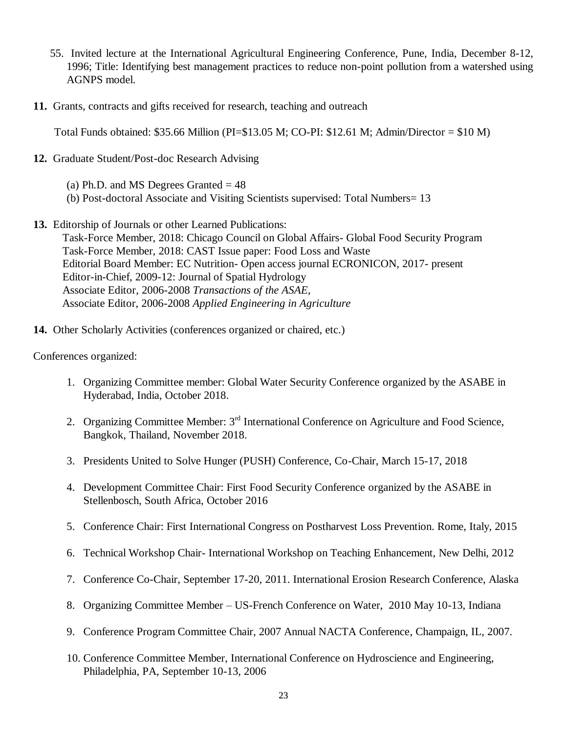- 55. Invited lecture at the International Agricultural Engineering Conference, Pune, India, December 8-12, 1996; Title: Identifying best management practices to reduce non-point pollution from a watershed using AGNPS model.
- **11.** Grants, contracts and gifts received for research, teaching and outreach

Total Funds obtained: \$35.66 Million (PI=\$13.05 M; CO-PI: \$12.61 M; Admin/Director = \$10 M)

- **12.** Graduate Student/Post-doc Research Advising
	- (a) Ph.D. and MS Degrees Granted  $= 48$
	- (b) Post-doctoral Associate and Visiting Scientists supervised: Total Numbers= 13
- **13.** Editorship of Journals or other Learned Publications:

Task-Force Member, 2018: Chicago Council on Global Affairs- Global Food Security Program Task-Force Member, 2018: CAST Issue paper: Food Loss and Waste Editorial Board Member: EC Nutrition- Open access journal ECRONICON, 2017- present Editor-in-Chief, 2009-12: Journal of Spatial Hydrology Associate Editor, 2006-2008 *Transactions of the ASAE,* Associate Editor, 2006-2008 *Applied Engineering in Agriculture*

**14.** Other Scholarly Activities (conferences organized or chaired, etc.)

Conferences organized:

- 1. Organizing Committee member: Global Water Security Conference organized by the ASABE in Hyderabad, India, October 2018.
- 2. Organizing Committee Member: 3<sup>rd</sup> International Conference on Agriculture and Food Science, Bangkok, Thailand, November 2018.
- 3. Presidents United to Solve Hunger (PUSH) Conference, Co-Chair, March 15-17, 2018
- 4. Development Committee Chair: First Food Security Conference organized by the ASABE in Stellenbosch, South Africa, October 2016
- 5. Conference Chair: First International Congress on Postharvest Loss Prevention. Rome, Italy, 2015
- 6. Technical Workshop Chair- International Workshop on Teaching Enhancement, New Delhi, 2012
- 7. Conference Co-Chair, September 17-20, 2011. International Erosion Research Conference, Alaska
- 8. Organizing Committee Member US-French Conference on Water, 2010 May 10-13, Indiana
- 9. Conference Program Committee Chair, 2007 Annual NACTA Conference, Champaign, IL, 2007.
- 10. Conference Committee Member, International Conference on Hydroscience and Engineering, Philadelphia, PA, September 10-13, 2006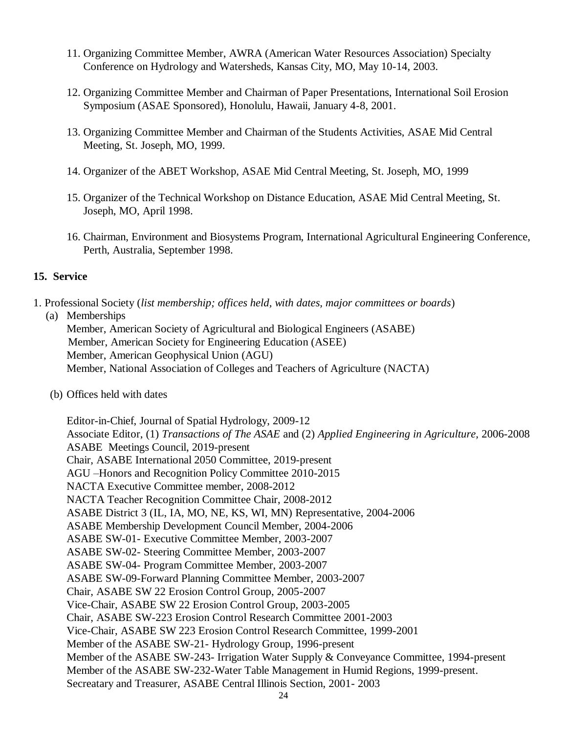- 11. Organizing Committee Member, AWRA (American Water Resources Association) Specialty Conference on Hydrology and Watersheds, Kansas City, MO, May 10-14, 2003.
- 12. Organizing Committee Member and Chairman of Paper Presentations, International Soil Erosion Symposium (ASAE Sponsored), Honolulu, Hawaii, January 4-8, 2001.
- 13. Organizing Committee Member and Chairman of the Students Activities, ASAE Mid Central Meeting, St. Joseph, MO, 1999.
- 14. Organizer of the ABET Workshop, ASAE Mid Central Meeting, St. Joseph, MO, 1999
- 15. Organizer of the Technical Workshop on Distance Education, ASAE Mid Central Meeting, St. Joseph, MO, April 1998.
- 16. Chairman, Environment and Biosystems Program, International Agricultural Engineering Conference, Perth, Australia, September 1998.

#### **15. Service**

1. Professional Society (*list membership; offices held, with dates, major committees or boards*)

#### (a) Memberships

Member, American Society of Agricultural and Biological Engineers (ASABE) Member, American Society for Engineering Education (ASEE) Member, American Geophysical Union (AGU) Member, National Association of Colleges and Teachers of Agriculture (NACTA)

(b) Offices held with dates

Editor-in-Chief, Journal of Spatial Hydrology, 2009-12 Associate Editor, (1) *Transactions of The ASAE* and (2) *Applied Engineering in Agriculture,* 2006-2008 ASABE Meetings Council, 2019-present Chair, ASABE International 2050 Committee, 2019-present AGU –Honors and Recognition Policy Committee 2010-2015 NACTA Executive Committee member, 2008-2012 NACTA Teacher Recognition Committee Chair, 2008-2012 ASABE District 3 (IL, IA, MO, NE, KS, WI, MN) Representative, 2004-2006 ASABE Membership Development Council Member, 2004-2006 ASABE SW-01- Executive Committee Member, 2003-2007 ASABE SW-02- Steering Committee Member, 2003-2007 ASABE SW-04- Program Committee Member, 2003-2007 ASABE SW-09-Forward Planning Committee Member, 2003-2007 Chair, ASABE SW 22 Erosion Control Group, 2005-2007 Vice-Chair, ASABE SW 22 Erosion Control Group, 2003-2005 Chair, ASABE SW-223 Erosion Control Research Committee 2001-2003 Vice-Chair, ASABE SW 223 Erosion Control Research Committee, 1999-2001 Member of the ASABE SW-21- Hydrology Group, 1996-present Member of the ASABE SW-243- Irrigation Water Supply & Conveyance Committee, 1994-present Member of the ASABE SW-232-Water Table Management in Humid Regions, 1999-present. Secreatary and Treasurer, ASABE Central Illinois Section, 2001- 2003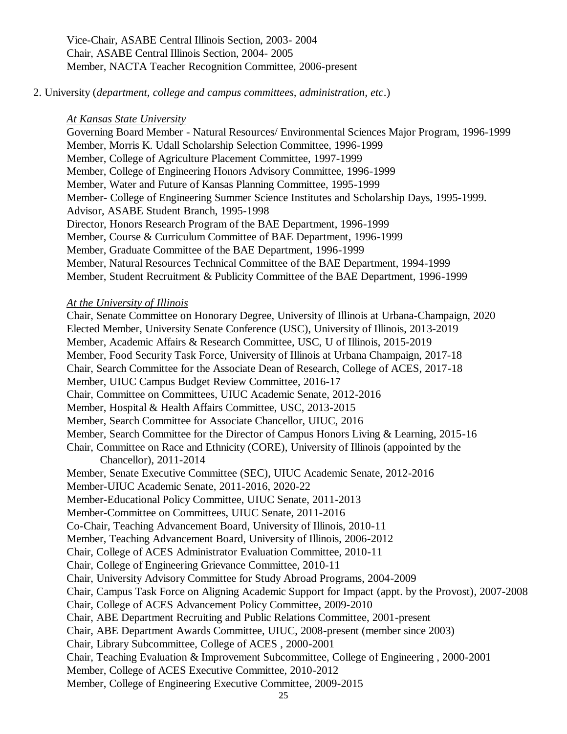Vice-Chair, ASABE Central Illinois Section, 2003- 2004 Chair, ASABE Central Illinois Section, 2004- 2005 Member, NACTA Teacher Recognition Committee, 2006-present

2. University (*department, college and campus committees, administration, etc*.)

#### *At Kansas State University*

Governing Board Member - Natural Resources/ Environmental Sciences Major Program, 1996-1999 Member, Morris K. Udall Scholarship Selection Committee, 1996-1999 Member, College of Agriculture Placement Committee, 1997-1999 Member, College of Engineering Honors Advisory Committee, 1996-1999 Member, Water and Future of Kansas Planning Committee, 1995-1999 Member- College of Engineering Summer Science Institutes and Scholarship Days, 1995-1999. Advisor, ASABE Student Branch, 1995-1998 Director, Honors Research Program of the BAE Department, 1996-1999 Member, Course & Curriculum Committee of BAE Department, 1996-1999 Member, Graduate Committee of the BAE Department, 1996-1999 Member, Natural Resources Technical Committee of the BAE Department, 1994-1999 Member, Student Recruitment & Publicity Committee of the BAE Department, 1996-1999

### *At the University of Illinois*

Chair, Senate Committee on Honorary Degree, University of Illinois at Urbana-Champaign, 2020 Elected Member, University Senate Conference (USC), University of Illinois, 2013-2019 Member, Academic Affairs & Research Committee, USC, U of Illinois, 2015-2019 Member, Food Security Task Force, University of Illinois at Urbana Champaign, 2017-18 Chair, Search Committee for the Associate Dean of Research, College of ACES, 2017-18 Member, UIUC Campus Budget Review Committee, 2016-17 Chair, Committee on Committees, UIUC Academic Senate, 2012-2016 Member, Hospital & Health Affairs Committee, USC, 2013-2015 Member, Search Committee for Associate Chancellor, UIUC, 2016 Member, Search Committee for the Director of Campus Honors Living & Learning, 2015-16 Chair, Committee on Race and Ethnicity (CORE), University of Illinois (appointed by the Chancellor), 2011-2014 Member, Senate Executive Committee (SEC), UIUC Academic Senate, 2012-2016 Member-UIUC Academic Senate, 2011-2016, 2020-22 Member-Educational Policy Committee, UIUC Senate, 2011-2013 Member-Committee on Committees, UIUC Senate, 2011-2016 Co-Chair, Teaching Advancement Board, University of Illinois, 2010-11 Member, Teaching Advancement Board, University of Illinois, 2006-2012 Chair, College of ACES Administrator Evaluation Committee, 2010-11 Chair, College of Engineering Grievance Committee, 2010-11 Chair, University Advisory Committee for Study Abroad Programs, 2004-2009 Chair, Campus Task Force on Aligning Academic Support for Impact (appt. by the Provost), 2007-2008 Chair, College of ACES Advancement Policy Committee, 2009-2010 Chair, ABE Department Recruiting and Public Relations Committee, 2001-present Chair, ABE Department Awards Committee, UIUC, 2008-present (member since 2003) Chair, Library Subcommittee, College of ACES , 2000-2001 Chair, Teaching Evaluation & Improvement Subcommittee, College of Engineering , 2000-2001 Member, College of ACES Executive Committee, 2010-2012 Member, College of Engineering Executive Committee, 2009-2015